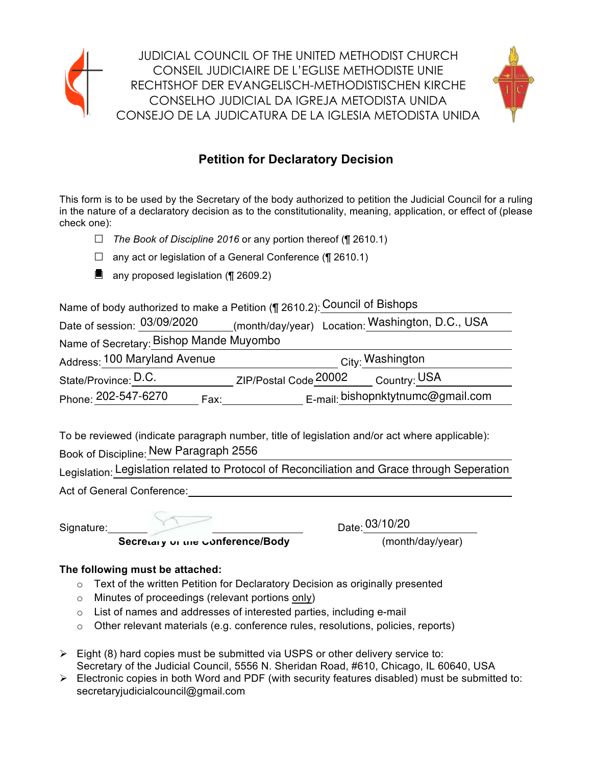

JUDICIAL COUNCIL OF THE UNITED METHODIST CHURCH CONSEIL JUDICIAIRE DE L'EGLISE METHODISTE UNIE RECHTSHOF DER EVANGELISCH-METHODISTISCHEN KIRCHE CONSELHO JUDICIAL DA IGREJA METODISTA UNIDA CONSEJO DE LA JUDICATURA DE LA IGLESIA METODISTA UNIDA



# **Petition for Declaratory Decision**

This form is to be used by the Secretary of the body authorized to petition the Judicial Council for a ruling in the nature of a declaratory decision as to the constitutionality, meaning, application, or effect of (please check one):

- *□ The Book of Discipline 2016* or any portion thereof (¶ 2610.1)
- $\Box$  any act or legislation of a General Conference (¶ 2610.1)
- $\blacksquare$  any proposed legislation (¶ 2609.2)

Name of body authorized to make a Petition (¶ 2610.2): Council of Bishops \_\_\_\_\_\_\_\_\_\_\_\_

| Date of session: 03/09/2020             | (month/day/year) Location: Washington, D.C., USA |
|-----------------------------------------|--------------------------------------------------|
| Name of Secretary: Bishop Mande Muyombo |                                                  |
| Address: 100 Maryland Avenue            | City: Washington                                 |
| State/Province: D.C.                    | ZIP/Postal Code 20002<br>Country: USA            |
| Phone: 202-547-6270<br>Fax:             | E-mail: bishopnktytnumc@gmail.com                |

To be reviewed (indicate paragraph number, title of legislation and/or act where applicable): Book of Discipline: New Paragraph 2556

Legislation: Legislation related to Protocol of Reconciliation and Grace through Seperation

Act of General Conference:

Date: 03/10/20

Secretary of the conference/Body **and the secretary of the conference/Body** (month/day/year)

# **The following must be attached:**

- $\circ$  Text of the written Petition for Declaratory Decision as originally presented
- $\circ$  Minutes of proceedings (relevant portions only)
- $\circ$  List of names and addresses of interested parties, including e-mail
- $\circ$  Other relevant materials (e.g. conference rules, resolutions, policies, reports)
- $\triangleright$  Eight (8) hard copies must be submitted via USPS or other delivery service to: Secretary of the Judicial Council, 5556 N. Sheridan Road, #610, Chicago, IL 60640, USA
- $\triangleright$  Electronic copies in both Word and PDF (with security features disabled) must be submitted to: secretaryjudicialcouncil@gmail.com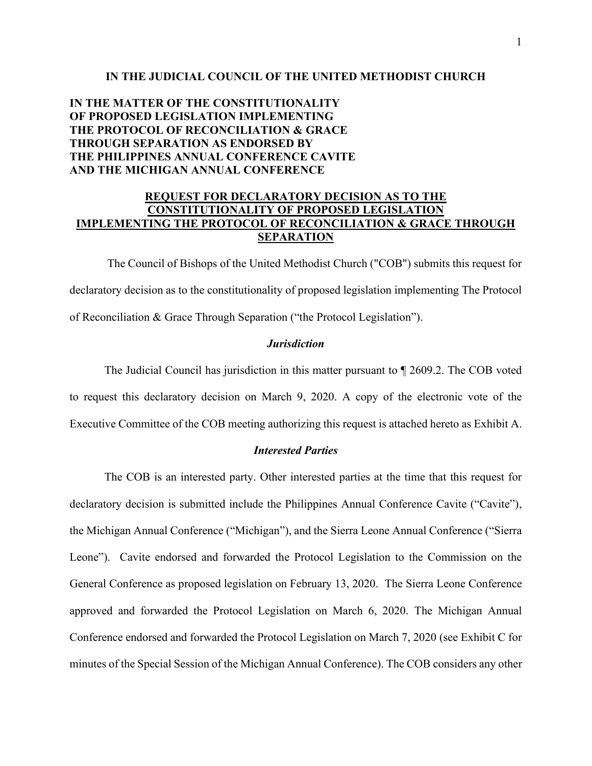#### **IN THE JUDICIAL COUNCIL OF THE UNITED METHODIST CHURCH**

# **IN THE MATTER OF THE CONSTITUTIONALITY OF PROPOSED LEGISLATION IMPLEMENTING THE PROTOCOL OF RECONCILIATION & GRACE THROUGH SEPARATION AS ENDORSED BY THE PHILIPPINES ANNUAL CONFERENCE CAVITE AND THE MICHIGAN ANNUAL CONFERENCE**

## **REQUEST FOR DECLARATORY DECISION AS TO THE CONSTITUTIONALITY OF PROPOSED LEGISLATION IMPLEMENTING THE PROTOCOL OF RECONCILIATION & GRACE THROUGH SEPARATION**

The Council of Bishops of the United Methodist Church ("COB") submits this request for declaratory decision as to the constitutionality of proposed legislation implementing The Protocol of Reconciliation & Grace Through Separation ("the Protocol Legislation").

#### *Jurisdiction*

 The Judicial Council has jurisdiction in this matter pursuant to ¶ 2609.2. The COB voted to request this declaratory decision on March 9, 2020. A copy of the electronic vote of the Executive Committee of the COB meeting authorizing this request is attached hereto as Exhibit A.

#### *Interested Parties*

 The COB is an interested party. Other interested parties at the time that this request for declaratory decision is submitted include the Philippines Annual Conference Cavite ("Cavite"), the Michigan Annual Conference ("Michigan"), and the Sierra Leone Annual Conference ("Sierra Leone"). Cavite endorsed and forwarded the Protocol Legislation to the Commission on the General Conference as proposed legislation on February 13, 2020. The Sierra Leone Conference approved and forwarded the Protocol Legislation on March 6, 2020. The Michigan Annual Conference endorsed and forwarded the Protocol Legislation on March 7, 2020 (see Exhibit C for minutes of the Special Session of the Michigan Annual Conference). The COB considers any other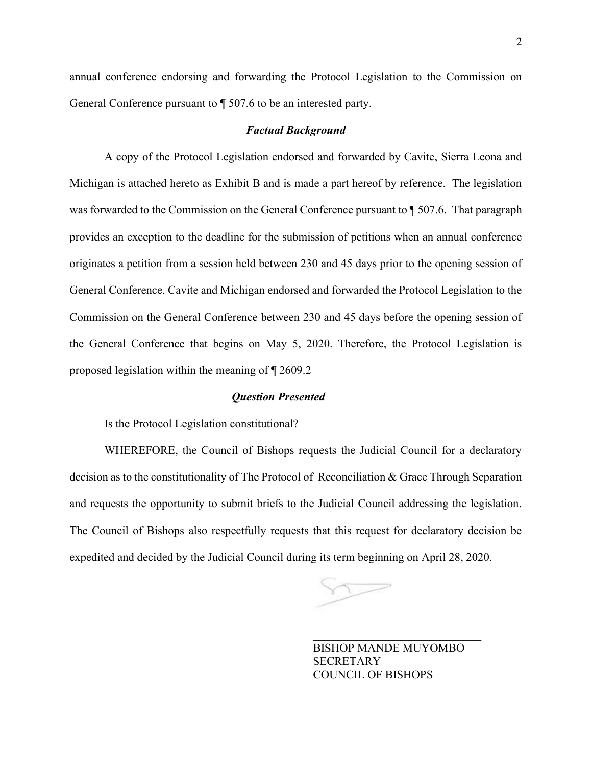annual conference endorsing and forwarding the Protocol Legislation to the Commission on General Conference pursuant to ¶ 507.6 to be an interested party.

#### *Factual Background*

 A copy of the Protocol Legislation endorsed and forwarded by Cavite, Sierra Leona and Michigan is attached hereto as Exhibit B and is made a part hereof by reference. The legislation was forwarded to the Commission on the General Conference pursuant to  $\P$  507.6. That paragraph provides an exception to the deadline for the submission of petitions when an annual conference originates a petition from a session held between 230 and 45 days prior to the opening session of General Conference. Cavite and Michigan endorsed and forwarded the Protocol Legislation to the Commission on the General Conference between 230 and 45 days before the opening session of the General Conference that begins on May 5, 2020. Therefore, the Protocol Legislation is proposed legislation within the meaning of ¶ 2609.2

#### *Question Presented*

Is the Protocol Legislation constitutional?

WHEREFORE, the Council of Bishops requests the Judicial Council for a declaratory decision as to the constitutionality of The Protocol of Reconciliation & Grace Through Separation and requests the opportunity to submit briefs to the Judicial Council addressing the legislation. The Council of Bishops also respectfully requests that this request for declaratory decision be expedited and decided by the Judicial Council during its term beginning on April 28, 2020.

 $\mathcal{L}_\mathcal{L}$  , and the contribution of the contribution of  $\mathcal{L}_\mathcal{L}$  , and the contribution of the contribution of  $\mathcal{L}_\mathcal{L}$ 

BISHOP MANDE MUYOMBO **SECRETARY** COUNCIL OF BISHOPS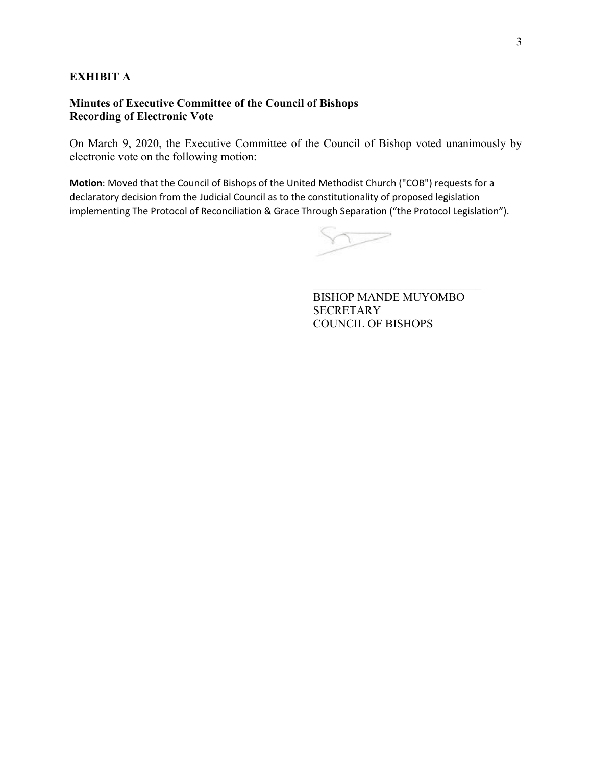# **EXHIBIT A**

# **Minutes of Executive Committee of the Council of Bishops Recording of Electronic Vote**

On March 9, 2020, the Executive Committee of the Council of Bishop voted unanimously by electronic vote on the following motion:

**Motion**: Moved that the Council of Bishops of the United Methodist Church ("COB") requests for a declaratory decision from the Judicial Council as to the constitutionality of proposed legislation implementing The Protocol of Reconciliation & Grace Through Separation ("the Protocol Legislation").

 $\mathcal{L}_\mathcal{L}$  , and the contribution of the contribution of  $\mathcal{L}_\mathcal{L}$  , and the contribution of the contribution of  $\mathcal{L}_\mathcal{L}$ 

BISHOP MANDE MUYOMBO **SECRETARY** COUNCIL OF BISHOPS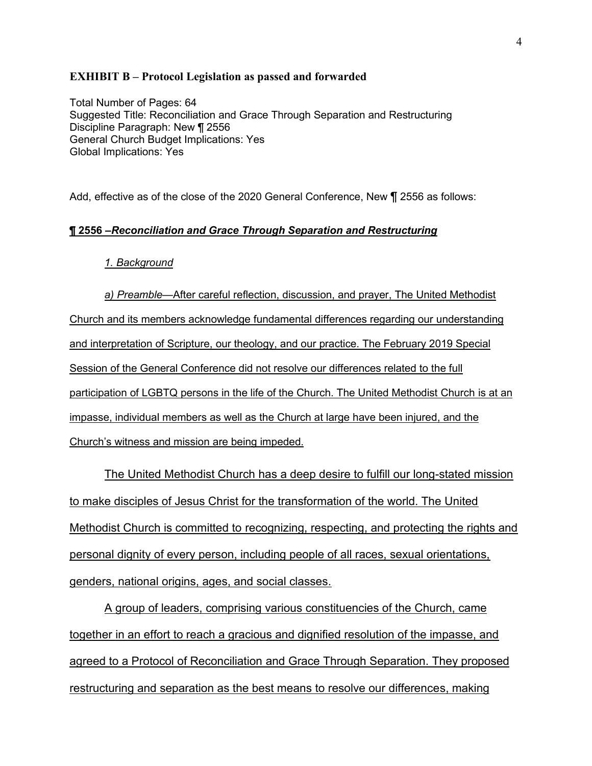#### **EXHIBIT B – Protocol Legislation as passed and forwarded**

Total Number of Pages: 64 Suggested Title: Reconciliation and Grace Through Separation and Restructuring Discipline Paragraph: New ¶ 2556 General Church Budget Implications: Yes Global Implications: Yes

Add, effective as of the close of the 2020 General Conference, New ¶ 2556 as follows:

### **¶ 2556 ñ***Reconciliation and Grace Through Separation and Restructuring*

#### *1. Background*

*a) Preamble*—After careful reflection, discussion, and prayer, The United Methodist Church and its members acknowledge fundamental differences regarding our understanding and interpretation of Scripture, our theology, and our practice. The February 2019 Special Session of the General Conference did not resolve our differences related to the full participation of LGBTQ persons in the life of the Church. The United Methodist Church is at an impasse, individual members as well as the Church at large have been injured, and the Church's witness and mission are being impeded.

 The United Methodist Church has a deep desire to fulfill our long-stated mission to make disciples of Jesus Christ for the transformation of the world. The United Methodist Church is committed to recognizing, respecting, and protecting the rights and personal dignity of every person, including people of all races, sexual orientations, genders, national origins, ages, and social classes.

 A group of leaders, comprising various constituencies of the Church, came together in an effort to reach a gracious and dignified resolution of the impasse, and agreed to a Protocol of Reconciliation and Grace Through Separation. They proposed restructuring and separation as the best means to resolve our differences, making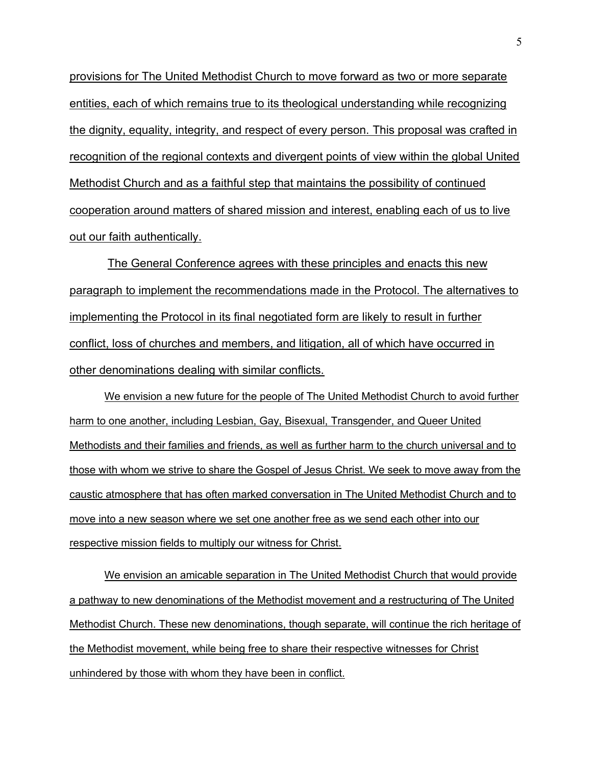provisions for The United Methodist Church to move forward as two or more separate entities, each of which remains true to its theological understanding while recognizing the dignity, equality, integrity, and respect of every person. This proposal was crafted in recognition of the regional contexts and divergent points of view within the global United Methodist Church and as a faithful step that maintains the possibility of continued cooperation around matters of shared mission and interest, enabling each of us to live out our faith authentically.

 The General Conference agrees with these principles and enacts this new paragraph to implement the recommendations made in the Protocol. The alternatives to implementing the Protocol in its final negotiated form are likely to result in further conflict, loss of churches and members, and litigation, all of which have occurred in other denominations dealing with similar conflicts.

We envision a new future for the people of The United Methodist Church to avoid further harm to one another, including Lesbian, Gay, Bisexual, Transgender, and Queer United Methodists and their families and friends, as well as further harm to the church universal and to those with whom we strive to share the Gospel of Jesus Christ. We seek to move away from the caustic atmosphere that has often marked conversation in The United Methodist Church and to move into a new season where we set one another free as we send each other into our respective mission fields to multiply our witness for Christ.

We envision an amicable separation in The United Methodist Church that would provide a pathway to new denominations of the Methodist movement and a restructuring of The United Methodist Church. These new denominations, though separate, will continue the rich heritage of the Methodist movement, while being free to share their respective witnesses for Christ unhindered by those with whom they have been in conflict.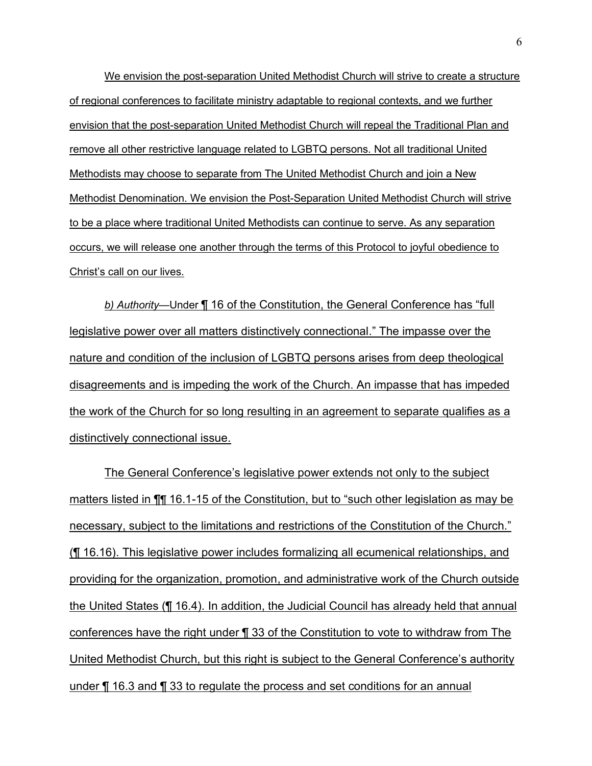We envision the post-separation United Methodist Church will strive to create a structure of regional conferences to facilitate ministry adaptable to regional contexts, and we further envision that the post-separation United Methodist Church will repeal the Traditional Plan and remove all other restrictive language related to LGBTQ persons. Not all traditional United Methodists may choose to separate from The United Methodist Church and join a New Methodist Denomination. We envision the Post-Separation United Methodist Church will strive to be a place where traditional United Methodists can continue to serve. As any separation occurs, we will release one another through the terms of this Protocol to joyful obedience to Christ's call on our lives.

*b) Authority*—Under ¶ 16 of the Constitution, the General Conference has "full legislative power over all matters distinctively connectional." The impasse over the nature and condition of the inclusion of LGBTQ persons arises from deep theological disagreements and is impeding the work of the Church. An impasse that has impeded the work of the Church for so long resulting in an agreement to separate qualifies as a distinctively connectional issue.

The General Conference's legislative power extends not only to the subject matters listed in  $\P$ [16.1-15 of the Constitution, but to "such other legislation as may be necessary, subject to the limitations and restrictions of the Constitution of the Church." (¶ 16.16). This legislative power includes formalizing all ecumenical relationships, and providing for the organization, promotion, and administrative work of the Church outside the United States (¶ 16.4). In addition, the Judicial Council has already held that annual conferences have the right under ¶ 33 of the Constitution to vote to withdraw from The United Methodist Church, but this right is subject to the General Conference's authority under ¶ 16.3 and ¶ 33 to regulate the process and set conditions for an annual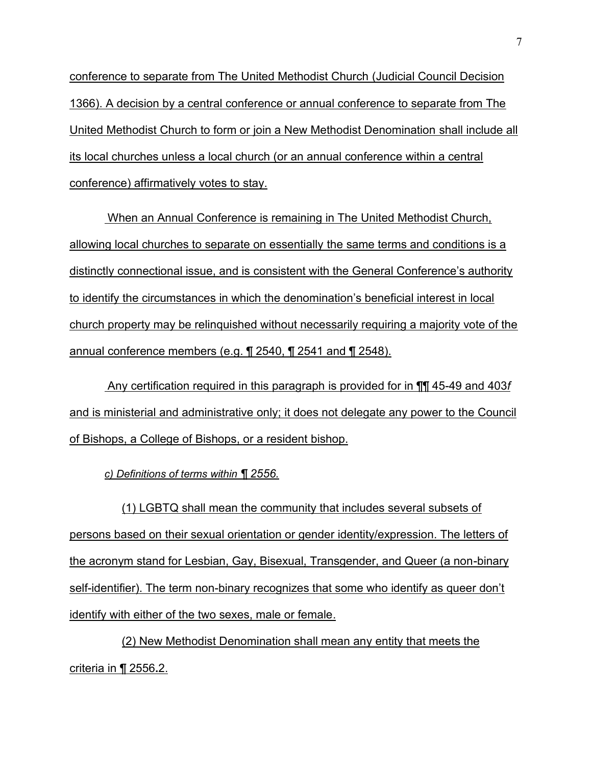conference to separate from The United Methodist Church (Judicial Council Decision 1366). A decision by a central conference or annual conference to separate from The United Methodist Church to form or join a New Methodist Denomination shall include all its local churches unless a local church (or an annual conference within a central conference) affirmatively votes to stay.

 When an Annual Conference is remaining in The United Methodist Church, allowing local churches to separate on essentially the same terms and conditions is a distinctly connectional issue, and is consistent with the General Conference's authority to identify the circumstances in which the denomination's beneficial interest in local church property may be relinquished without necessarily requiring a majority vote of the annual conference members (e.g. ¶ 2540, ¶ 2541 and ¶ 2548).

 Any certification required in this paragraph is provided for in ¶¶ 45-49 and 403*f*  and is ministerial and administrative only; it does not delegate any power to the Council of Bishops, a College of Bishops, or a resident bishop.

*c) Definitions of terms within ¶ 2556.*

(1) LGBTQ shall mean the community that includes several subsets of persons based on their sexual orientation or gender identity/expression. The letters of the acronym stand for Lesbian, Gay, Bisexual, Transgender, and Queer (a non-binary self-identifier). The term non-binary recognizes that some who identify as queer don't identify with either of the two sexes, male or female.

(2) New Methodist Denomination shall mean any entity that meets the criteria in ¶ 2556**.**2.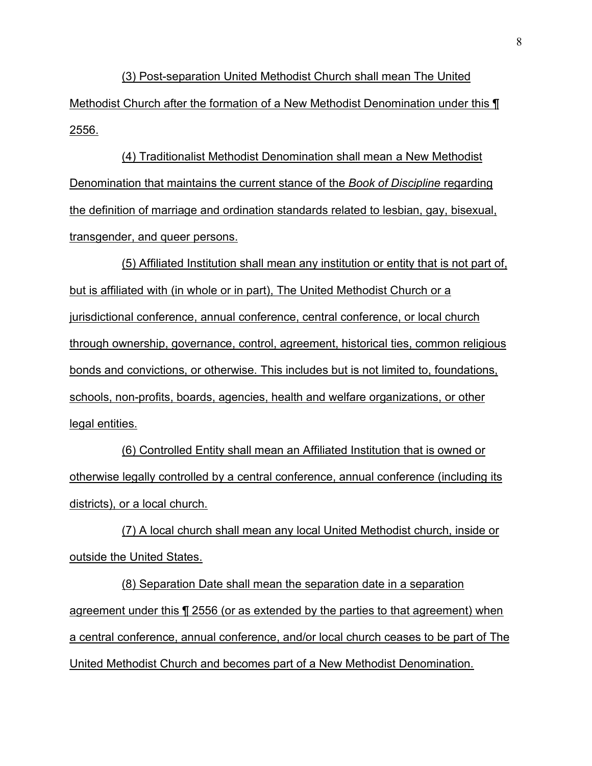(3) Post-separation United Methodist Church shall mean The United Methodist Church after the formation of a New Methodist Denomination under this ¶ 2556.

(4) Traditionalist Methodist Denomination shall mean a New Methodist Denomination that maintains the current stance of the *Book of Discipline* regarding the definition of marriage and ordination standards related to lesbian, gay, bisexual, transgender, and queer persons.

(5) Affiliated Institution shall mean any institution or entity that is not part of, but is affiliated with (in whole or in part), The United Methodist Church or a jurisdictional conference, annual conference, central conference, or local church through ownership, governance, control, agreement, historical ties, common religious bonds and convictions, or otherwise. This includes but is not limited to, foundations, schools, non-profits, boards, agencies, health and welfare organizations, or other legal entities.

(6) Controlled Entity shall mean an Affiliated Institution that is owned or otherwise legally controlled by a central conference, annual conference (including its districts), or a local church.

(7) A local church shall mean any local United Methodist church, inside or outside the United States.

(8) Separation Date shall mean the separation date in a separation agreement under this ¶ 2556 (or as extended by the parties to that agreement) when a central conference, annual conference, and/or local church ceases to be part of The United Methodist Church and becomes part of a New Methodist Denomination.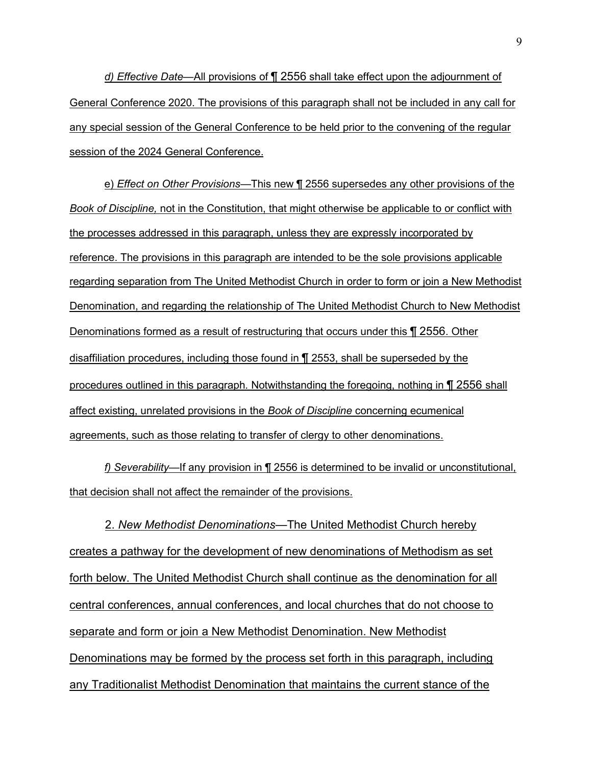*d) Effective Date*—All provisions of ¶ 2556 shall take effect upon the adjournment of General Conference 2020. The provisions of this paragraph shall not be included in any call for any special session of the General Conference to be held prior to the convening of the regular session of the 2024 General Conference.

e) *Effect on Other Provisions*—This new ¶ 2556 supersedes any other provisions of the *Book of Discipline,* not in the Constitution, that might otherwise be applicable to or conflict with the processes addressed in this paragraph, unless they are expressly incorporated by reference. The provisions in this paragraph are intended to be the sole provisions applicable regarding separation from The United Methodist Church in order to form or join a New Methodist Denomination, and regarding the relationship of The United Methodist Church to New Methodist Denominations formed as a result of restructuring that occurs under this ¶ 2556. Other disaffiliation procedures, including those found in ¶ 2553, shall be superseded by the procedures outlined in this paragraph. Notwithstanding the foregoing, nothing in ¶ 2556 shall affect existing, unrelated provisions in the *Book of Discipline* concerning ecumenical agreements, such as those relating to transfer of clergy to other denominations.

*f) Severability*—If any provision in ¶ 2556 is determined to be invalid or unconstitutional, that decision shall not affect the remainder of the provisions.

 2. *New Methodist Denominationsó*The United Methodist Church hereby creates a pathway for the development of new denominations of Methodism as set forth below. The United Methodist Church shall continue as the denomination for all central conferences, annual conferences, and local churches that do not choose to separate and form or join a New Methodist Denomination. New Methodist Denominations may be formed by the process set forth in this paragraph, including any Traditionalist Methodist Denomination that maintains the current stance of the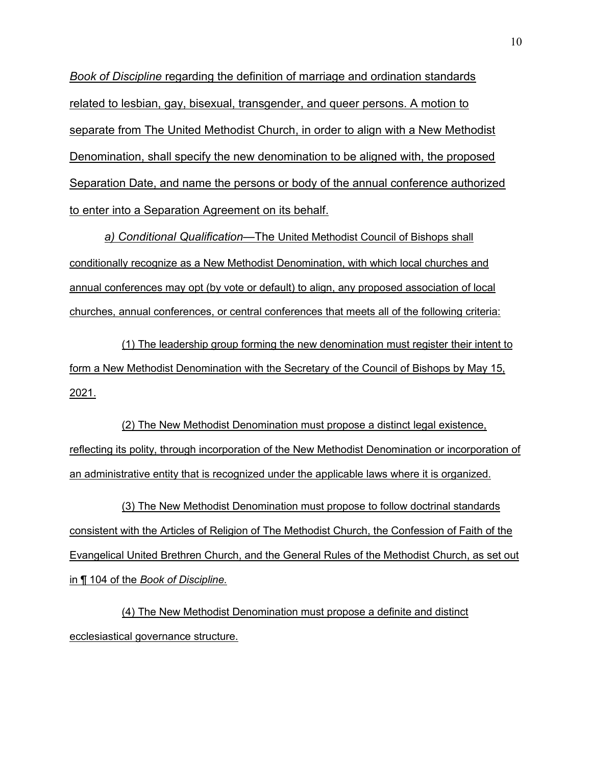*Book of Discipline* regarding the definition of marriage and ordination standards related to lesbian, gay, bisexual, transgender, and queer persons. A motion to separate from The United Methodist Church, in order to align with a New Methodist Denomination, shall specify the new denomination to be aligned with, the proposed Separation Date, and name the persons or body of the annual conference authorized to enter into a Separation Agreement on its behalf.

*a) Conditional Qualificationó*The United Methodist Council of Bishops shall conditionally recognize as a New Methodist Denomination, with which local churches and annual conferences may opt (by vote or default) to align, any proposed association of local churches, annual conferences, or central conferences that meets all of the following criteria:

(1) The leadership group forming the new denomination must register their intent to form a New Methodist Denomination with the Secretary of the Council of Bishops by May 15, 2021.

(2) The New Methodist Denomination must propose a distinct legal existence, reflecting its polity, through incorporation of the New Methodist Denomination or incorporation of an administrative entity that is recognized under the applicable laws where it is organized.

(3) The New Methodist Denomination must propose to follow doctrinal standards consistent with the Articles of Religion of The Methodist Church, the Confession of Faith of the Evangelical United Brethren Church, and the General Rules of the Methodist Church, as set out in ¶ 104 of the *Book of Discipline.*

(4) The New Methodist Denomination must propose a definite and distinct ecclesiastical governance structure.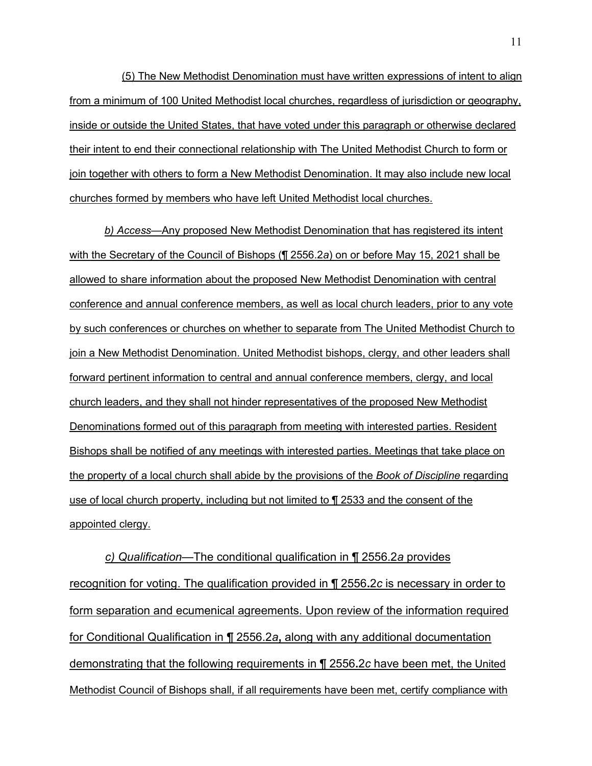(5) The New Methodist Denomination must have written expressions of intent to align from a minimum of 100 United Methodist local churches, regardless of jurisdiction or geography, inside or outside the United States, that have voted under this paragraph or otherwise declared their intent to end their connectional relationship with The United Methodist Church to form or join together with others to form a New Methodist Denomination. It may also include new local churches formed by members who have left United Methodist local churches.

*b) Access*—Any proposed New Methodist Denomination that has registered its intent with the Secretary of the Council of Bishops (¶ 2556.2*a*) on or before May 15, 2021 shall be allowed to share information about the proposed New Methodist Denomination with central conference and annual conference members, as well as local church leaders, prior to any vote by such conferences or churches on whether to separate from The United Methodist Church to join a New Methodist Denomination. United Methodist bishops, clergy, and other leaders shall forward pertinent information to central and annual conference members, clergy, and local church leaders, and they shall not hinder representatives of the proposed New Methodist Denominations formed out of this paragraph from meeting with interested parties. Resident Bishops shall be notified of any meetings with interested parties. Meetings that take place on the property of a local church shall abide by the provisions of the *Book of Discipline* regarding use of local church property, including but not limited to ¶ 2533 and the consent of the appointed clergy.

*c)* Qualification—The conditional qualification in ¶ 2556.2*a* provides recognition for voting. The qualification provided in ¶ 2556**.**2*c* is necessary in order to form separation and ecumenical agreements. Upon review of the information required for Conditional Qualification in ¶ 2556.2*a***,** along with any additional documentation demonstrating that the following requirements in ¶ 2556**.**2*c* have been met, the United Methodist Council of Bishops shall, if all requirements have been met, certify compliance with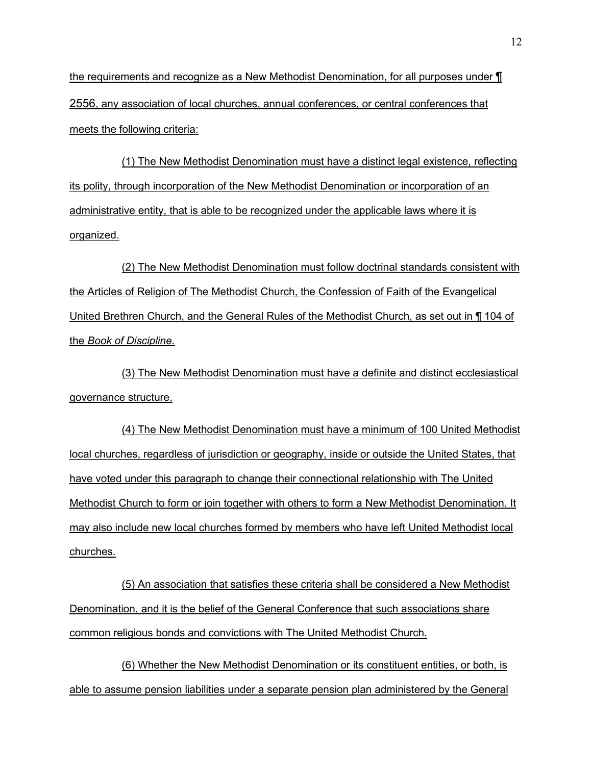the requirements and recognize as a New Methodist Denomination, for all purposes under ¶ 2556, any association of local churches, annual conferences, or central conferences that meets the following criteria:

(1) The New Methodist Denomination must have a distinct legal existence, reflecting its polity, through incorporation of the New Methodist Denomination or incorporation of an administrative entity, that is able to be recognized under the applicable laws where it is organized.

(2) The New Methodist Denomination must follow doctrinal standards consistent with the Articles of Religion of The Methodist Church, the Confession of Faith of the Evangelical United Brethren Church, and the General Rules of the Methodist Church, as set out in ¶ 104 of the *Book of Discipline.*

(3) The New Methodist Denomination must have a definite and distinct ecclesiastical governance structure.

(4) The New Methodist Denomination must have a minimum of 100 United Methodist local churches, regardless of jurisdiction or geography, inside or outside the United States, that have voted under this paragraph to change their connectional relationship with The United Methodist Church to form or join together with others to form a New Methodist Denomination. It may also include new local churches formed by members who have left United Methodist local churches.

(5) An association that satisfies these criteria shall be considered a New Methodist Denomination, and it is the belief of the General Conference that such associations share common religious bonds and convictions with The United Methodist Church.

(6) Whether the New Methodist Denomination or its constituent entities, or both, is able to assume pension liabilities under a separate pension plan administered by the General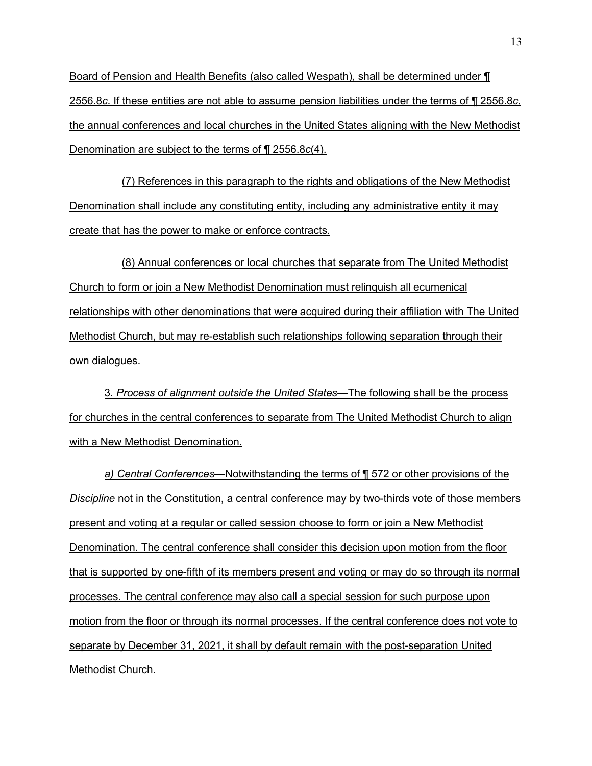Board of Pension and Health Benefits (also called Wespath), shall be determined under ¶ 2556.8*c*. If these entities are not able to assume pension liabilities under the terms of ¶ 2556.8*c*, the annual conferences and local churches in the United States aligning with the New Methodist Denomination are subject to the terms of ¶ 2556.8*c*(4).

(7) References in this paragraph to the rights and obligations of the New Methodist Denomination shall include any constituting entity, including any administrative entity it may create that has the power to make or enforce contracts.

(8) Annual conferences or local churches that separate from The United Methodist Church to form or join a New Methodist Denomination must relinquish all ecumenical relationships with other denominations that were acquired during their affiliation with The United Methodist Church, but may re-establish such relationships following separation through their own dialogues.

3. *Process* o*f alignment outside the United Statesó*The following shall be the process for churches in the central conferences to separate from The United Methodist Church to align with a New Methodist Denomination.

*a) Central Conferences*—Notwithstanding the terms of ¶ 572 or other provisions of the *Discipline* not in the Constitution, a central conference may by two-thirds vote of those members present and voting at a regular or called session choose to form or join a New Methodist Denomination. The central conference shall consider this decision upon motion from the floor that is supported by one-fifth of its members present and voting or may do so through its normal processes. The central conference may also call a special session for such purpose upon motion from the floor or through its normal processes. If the central conference does not vote to separate by December 31, 2021, it shall by default remain with the post-separation United Methodist Church.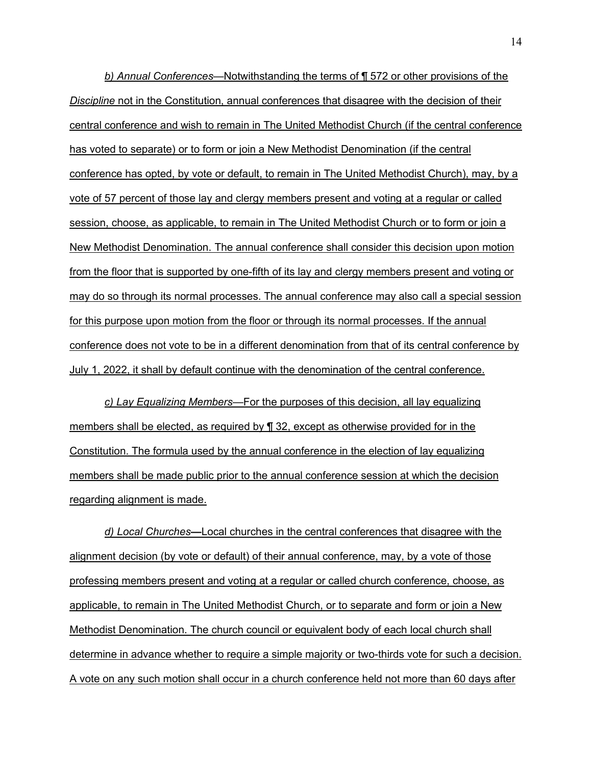*b) Annual Conferences*—Notwithstanding the terms of ¶ 572 or other provisions of the *Discipline* not in the Constitution, annual conferences that disagree with the decision of their central conference and wish to remain in The United Methodist Church (if the central conference has voted to separate) or to form or join a New Methodist Denomination (if the central conference has opted, by vote or default, to remain in The United Methodist Church), may, by a vote of 57 percent of those lay and clergy members present and voting at a regular or called session, choose, as applicable, to remain in The United Methodist Church or to form or join a New Methodist Denomination. The annual conference shall consider this decision upon motion from the floor that is supported by one-fifth of its lay and clergy members present and voting or may do so through its normal processes. The annual conference may also call a special session for this purpose upon motion from the floor or through its normal processes. If the annual conference does not vote to be in a different denomination from that of its central conference by July 1, 2022, it shall by default continue with the denomination of the central conference.

*c) Lay Equalizing Members*—For the purposes of this decision, all lay equalizing members shall be elected, as required by ¶ 32, except as otherwise provided for in the Constitution. The formula used by the annual conference in the election of lay equalizing members shall be made public prior to the annual conference session at which the decision regarding alignment is made.

*d) Local Churches*—Local churches in the central conferences that disagree with the alignment decision (by vote or default) of their annual conference, may, by a vote of those professing members present and voting at a regular or called church conference, choose, as applicable, to remain in The United Methodist Church, or to separate and form or join a New Methodist Denomination. The church council or equivalent body of each local church shall determine in advance whether to require a simple majority or two-thirds vote for such a decision. A vote on any such motion shall occur in a church conference held not more than 60 days after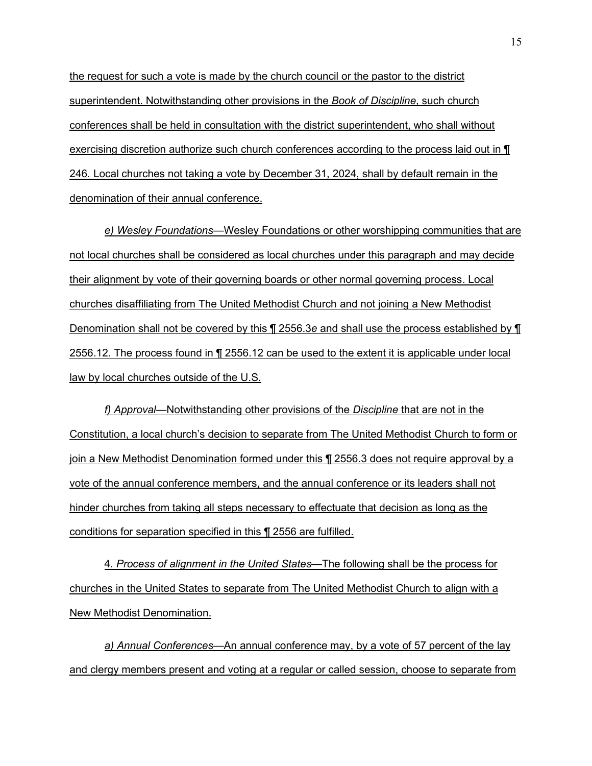the request for such a vote is made by the church council or the pastor to the district superintendent. Notwithstanding other provisions in the *Book of Discipline*, such church conferences shall be held in consultation with the district superintendent, who shall without exercising discretion authorize such church conferences according to the process laid out in ¶ 246. Local churches not taking a vote by December 31, 2024, shall by default remain in the denomination of their annual conference.

*e) Wesley Foundations*—Wesley Foundations or other worshipping communities that are not local churches shall be considered as local churches under this paragraph and may decide their alignment by vote of their governing boards or other normal governing process. Local churches disaffiliating from The United Methodist Church and not joining a New Methodist Denomination shall not be covered by this ¶ 2556.3*e* and shall use the process established by ¶ 2556.12. The process found in ¶ 2556.12 can be used to the extent it is applicable under local law by local churches outside of the U.S.

*f) Approval*—Notwithstanding other provisions of the *Discipline* that are not in the Constitution, a local church's decision to separate from The United Methodist Church to form or join a New Methodist Denomination formed under this ¶ 2556.3 does not require approval by a vote of the annual conference members, and the annual conference or its leaders shall not hinder churches from taking all steps necessary to effectuate that decision as long as the conditions for separation specified in this ¶ 2556 are fulfilled.

4. *Process of alignment in the United States*—The following shall be the process for churches in the United States to separate from The United Methodist Church to align with a New Methodist Denomination.

*a) Annual Conferencesó*An annual conference may, by a vote of 57 percent of the lay and clergy members present and voting at a regular or called session, choose to separate from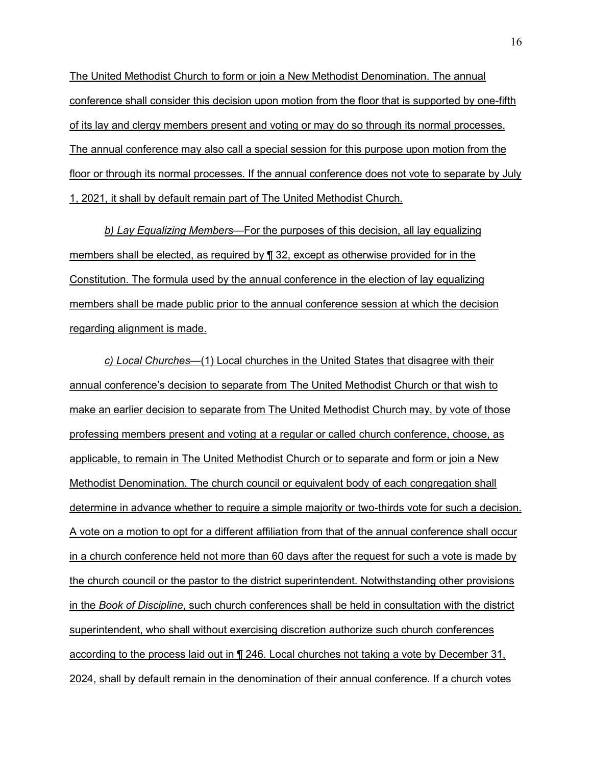The United Methodist Church to form or join a New Methodist Denomination. The annual conference shall consider this decision upon motion from the floor that is supported by one-fifth of its lay and clergy members present and voting or may do so through its normal processes. The annual conference may also call a special session for this purpose upon motion from the floor or through its normal processes. If the annual conference does not vote to separate by July 1, 2021, it shall by default remain part of The United Methodist Church.

**b) Lay Equalizing Members—For the purposes of this decision, all lay equalizing** members shall be elected, as required by ¶ 32, except as otherwise provided for in the Constitution. The formula used by the annual conference in the election of lay equalizing members shall be made public prior to the annual conference session at which the decision regarding alignment is made.

*c) Local Churchesó*(1) Local churches in the United States that disagree with their annual conferenceís decision to separate from The United Methodist Church or that wish to make an earlier decision to separate from The United Methodist Church may, by vote of those professing members present and voting at a regular or called church conference, choose, as applicable, to remain in The United Methodist Church or to separate and form or join a New Methodist Denomination. The church council or equivalent body of each congregation shall determine in advance whether to require a simple majority or two-thirds vote for such a decision. A vote on a motion to opt for a different affiliation from that of the annual conference shall occur in a church conference held not more than 60 days after the request for such a vote is made by the church council or the pastor to the district superintendent. Notwithstanding other provisions in the *Book of Discipline*, such church conferences shall be held in consultation with the district superintendent, who shall without exercising discretion authorize such church conferences according to the process laid out in ¶ 246. Local churches not taking a vote by December 31, 2024, shall by default remain in the denomination of their annual conference. If a church votes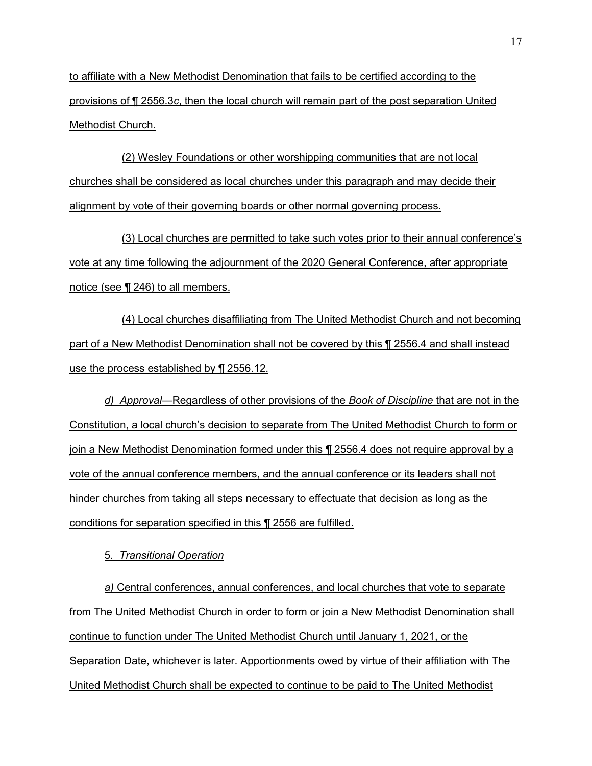to affiliate with a New Methodist Denomination that fails to be certified according to the provisions of ¶ 2556.3*c*, then the local church will remain part of the post separation United Methodist Church.

(2) Wesley Foundations or other worshipping communities that are not local churches shall be considered as local churches under this paragraph and may decide their alignment by vote of their governing boards or other normal governing process.

(3) Local churches are permitted to take such votes prior to their annual conference's vote at any time following the adjournment of the 2020 General Conference, after appropriate notice (see ¶ 246) to all members.

(4) Local churches disaffiliating from The United Methodist Church and not becoming part of a New Methodist Denomination shall not be covered by this ¶ 2556.4 and shall instead use the process established by ¶ 2556.12.

*d)* Approval—Regardless of other provisions of the Book of Discipline that are not in the Constitution, a local church's decision to separate from The United Methodist Church to form or join a New Methodist Denomination formed under this ¶ 2556.4 does not require approval by a vote of the annual conference members, and the annual conference or its leaders shall not hinder churches from taking all steps necessary to effectuate that decision as long as the conditions for separation specified in this ¶ 2556 are fulfilled.

### 5. *Transitional Operation*

*a)* Central conferences, annual conferences, and local churches that vote to separate from The United Methodist Church in order to form or join a New Methodist Denomination shall continue to function under The United Methodist Church until January 1, 2021, or the Separation Date, whichever is later. Apportionments owed by virtue of their affiliation with The United Methodist Church shall be expected to continue to be paid to The United Methodist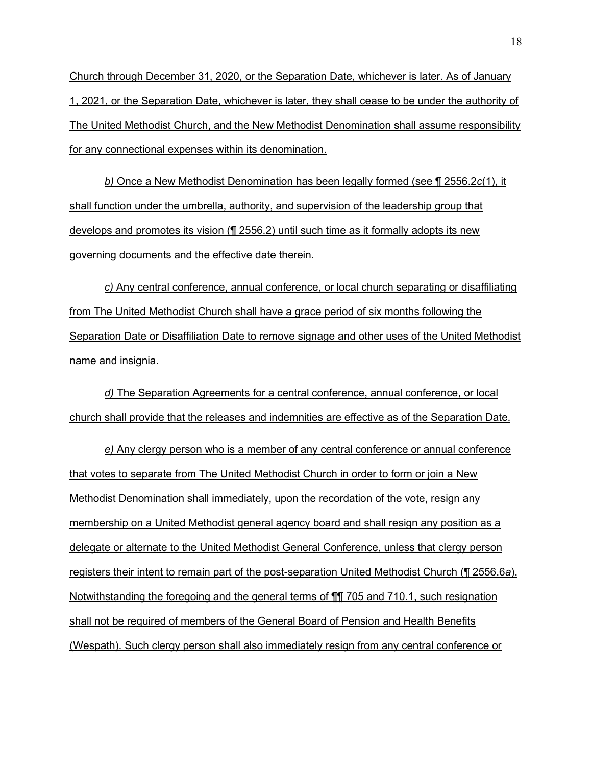Church through December 31, 2020, or the Separation Date, whichever is later. As of January 1, 2021, or the Separation Date, whichever is later, they shall cease to be under the authority of The United Methodist Church, and the New Methodist Denomination shall assume responsibility for any connectional expenses within its denomination.

*b)* Once a New Methodist Denomination has been legally formed (see ¶ 2556.2*c*(1), it shall function under the umbrella, authority, and supervision of the leadership group that develops and promotes its vision (¶ 2556.2) until such time as it formally adopts its new governing documents and the effective date therein.

*c)* Any central conference, annual conference, or local church separating or disaffiliating from The United Methodist Church shall have a grace period of six months following the Separation Date or Disaffiliation Date to remove signage and other uses of the United Methodist name and insignia.

*d)* The Separation Agreements for a central conference, annual conference, or local church shall provide that the releases and indemnities are effective as of the Separation Date.

*e)* Any clergy person who is a member of any central conference or annual conference that votes to separate from The United Methodist Church in order to form or join a New Methodist Denomination shall immediately, upon the recordation of the vote, resign any membership on a United Methodist general agency board and shall resign any position as a delegate or alternate to the United Methodist General Conference, unless that clergy person registers their intent to remain part of the post-separation United Methodist Church (¶ 2556.6*a*). Notwithstanding the foregoing and the general terms of ¶¶ 705 and 710.1, such resignation shall not be required of members of the General Board of Pension and Health Benefits (Wespath). Such clergy person shall also immediately resign from any central conference or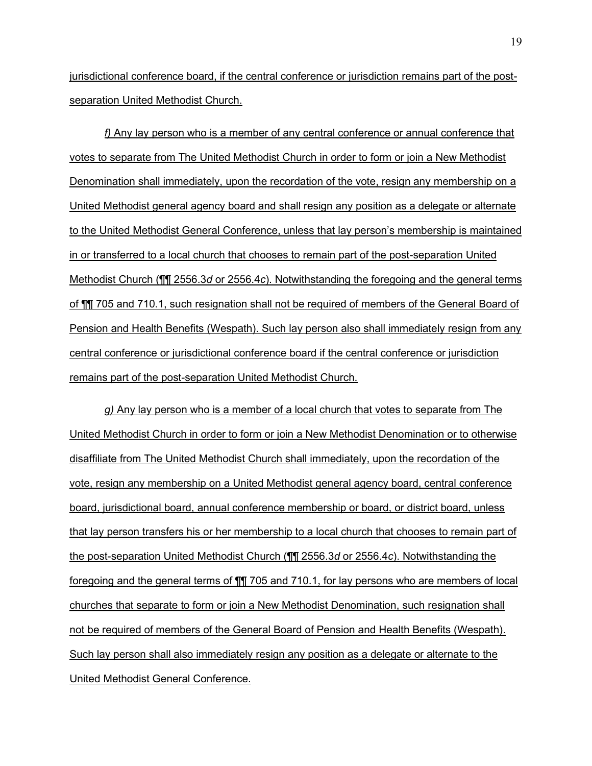jurisdictional conference board, if the central conference or jurisdiction remains part of the postseparation United Methodist Church.

*f)* Any lay person who is a member of any central conference or annual conference that votes to separate from The United Methodist Church in order to form or join a New Methodist Denomination shall immediately, upon the recordation of the vote, resign any membership on a United Methodist general agency board and shall resign any position as a delegate or alternate to the United Methodist General Conference, unless that lay person's membership is maintained in or transferred to a local church that chooses to remain part of the post-separation United Methodist Church (¶¶ 2556.3*d* or 2556.4*c*). Notwithstanding the foregoing and the general terms of ¶¶ 705 and 710.1, such resignation shall not be required of members of the General Board of Pension and Health Benefits (Wespath). Such lay person also shall immediately resign from any central conference or jurisdictional conference board if the central conference or jurisdiction remains part of the post-separation United Methodist Church.

*g)* Any lay person who is a member of a local church that votes to separate from The United Methodist Church in order to form or join a New Methodist Denomination or to otherwise disaffiliate from The United Methodist Church shall immediately, upon the recordation of the vote, resign any membership on a United Methodist general agency board, central conference board, jurisdictional board, annual conference membership or board, or district board, unless that lay person transfers his or her membership to a local church that chooses to remain part of the post-separation United Methodist Church (¶¶ 2556.3*d* or 2556.4*c*). Notwithstanding the foregoing and the general terms of ¶¶ 705 and 710.1, for lay persons who are members of local churches that separate to form or join a New Methodist Denomination, such resignation shall not be required of members of the General Board of Pension and Health Benefits (Wespath). Such lay person shall also immediately resign any position as a delegate or alternate to the United Methodist General Conference.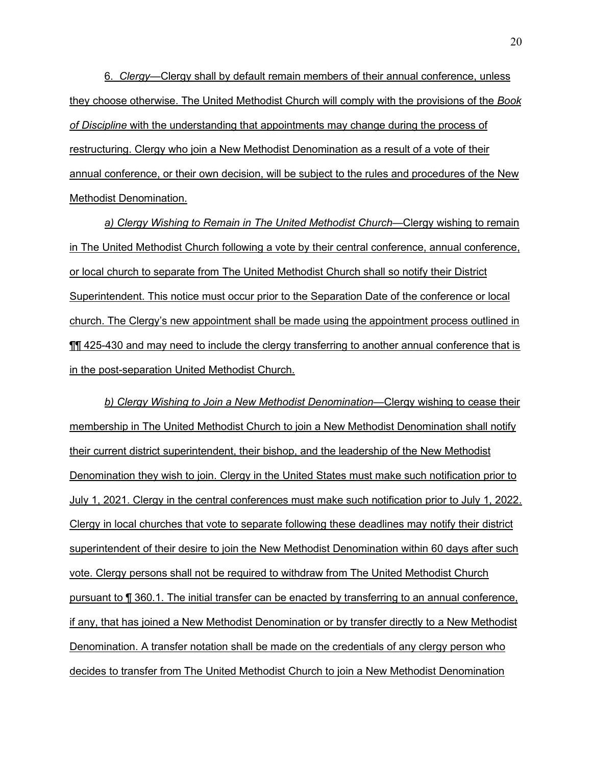6. *Clergy*—Clergy shall by default remain members of their annual conference, unless they choose otherwise. The United Methodist Church will comply with the provisions of the *Book of Discipline* with the understanding that appointments may change during the process of restructuring. Clergy who join a New Methodist Denomination as a result of a vote of their annual conference, or their own decision, will be subject to the rules and procedures of the New Methodist Denomination.

a) Clergy Wishing to Remain in The United Methodist Church—Clergy wishing to remain in The United Methodist Church following a vote by their central conference, annual conference, or local church to separate from The United Methodist Church shall so notify their District Superintendent. This notice must occur prior to the Separation Date of the conference or local church. The Clergyís new appointment shall be made using the appointment process outlined in **III** 425-430 and may need to include the clergy transferring to another annual conference that is in the post-separation United Methodist Church.

**b) Clergy Wishing to Join a New Methodist Denomination—Clergy wishing to cease their** membership in The United Methodist Church to join a New Methodist Denomination shall notify their current district superintendent, their bishop, and the leadership of the New Methodist Denomination they wish to join. Clergy in the United States must make such notification prior to July 1, 2021. Clergy in the central conferences must make such notification prior to July 1, 2022. Clergy in local churches that vote to separate following these deadlines may notify their district superintendent of their desire to join the New Methodist Denomination within 60 days after such vote. Clergy persons shall not be required to withdraw from The United Methodist Church pursuant to ¶ 360.1. The initial transfer can be enacted by transferring to an annual conference, if any, that has joined a New Methodist Denomination or by transfer directly to a New Methodist Denomination. A transfer notation shall be made on the credentials of any clergy person who decides to transfer from The United Methodist Church to join a New Methodist Denomination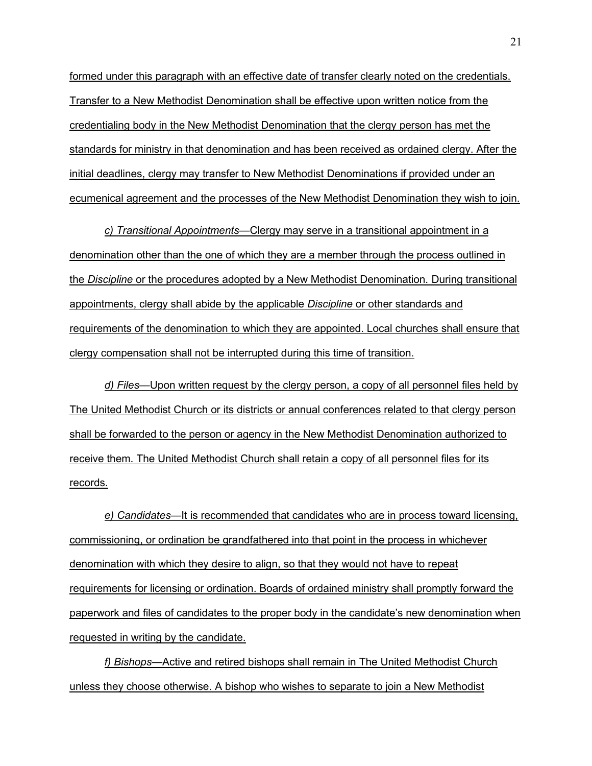formed under this paragraph with an effective date of transfer clearly noted on the credentials. Transfer to a New Methodist Denomination shall be effective upon written notice from the credentialing body in the New Methodist Denomination that the clergy person has met the standards for ministry in that denomination and has been received as ordained clergy. After the initial deadlines, clergy may transfer to New Methodist Denominations if provided under an ecumenical agreement and the processes of the New Methodist Denomination they wish to join.

*c)* Transitional Appointments—Clergy may serve in a transitional appointment in a denomination other than the one of which they are a member through the process outlined in the *Discipline* or the procedures adopted by a New Methodist Denomination. During transitional appointments, clergy shall abide by the applicable *Discipline* or other standards and requirements of the denomination to which they are appointed. Local churches shall ensure that clergy compensation shall not be interrupted during this time of transition.

*d) Files*—Upon written request by the clergy person, a copy of all personnel files held by The United Methodist Church or its districts or annual conferences related to that clergy person shall be forwarded to the person or agency in the New Methodist Denomination authorized to receive them. The United Methodist Church shall retain a copy of all personnel files for its records.

*e) Candidates*—It is recommended that candidates who are in process toward licensing, commissioning, or ordination be grandfathered into that point in the process in whichever denomination with which they desire to align, so that they would not have to repeat requirements for licensing or ordination. Boards of ordained ministry shall promptly forward the paperwork and files of candidates to the proper body in the candidate's new denomination when requested in writing by the candidate.

*f) Bishops*—Active and retired bishops shall remain in The United Methodist Church unless they choose otherwise. A bishop who wishes to separate to join a New Methodist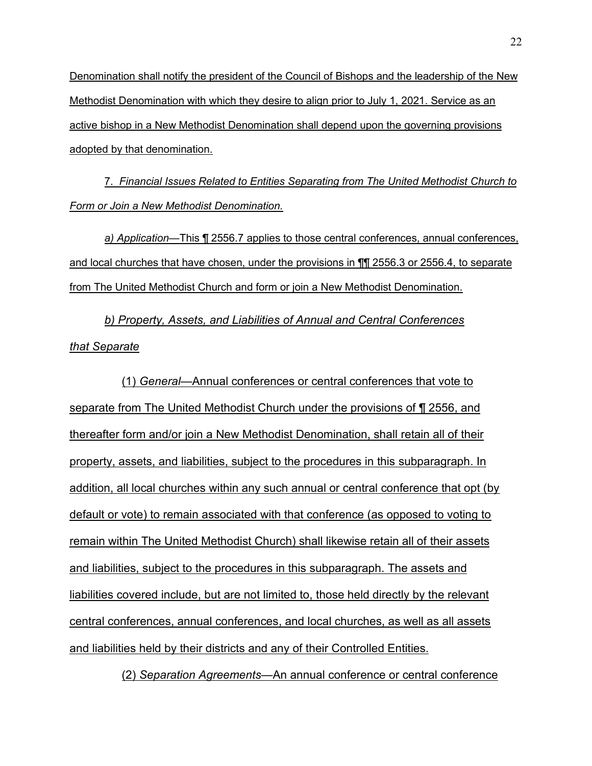Denomination shall notify the president of the Council of Bishops and the leadership of the New Methodist Denomination with which they desire to align prior to July 1, 2021. Service as an active bishop in a New Methodist Denomination shall depend upon the governing provisions adopted by that denomination.

7. *Financial Issues Related to Entities Separating from The United Methodist Church to Form or Join a New Methodist Denomination.* 

a) Application—This ¶ 2556.7 applies to those central conferences, annual conferences, and local churches that have chosen, under the provisions in ¶¶ 2556.3 or 2556.4, to separate from The United Methodist Church and form or join a New Methodist Denomination.

*b) Property, Assets, and Liabilities of Annual and Central Conferences that Separate* 

(1) *General*—Annual conferences or central conferences that vote to separate from The United Methodist Church under the provisions of ¶ 2556, and thereafter form and/or join a New Methodist Denomination, shall retain all of their property, assets, and liabilities, subject to the procedures in this subparagraph. In addition, all local churches within any such annual or central conference that opt (by default or vote) to remain associated with that conference (as opposed to voting to remain within The United Methodist Church) shall likewise retain all of their assets and liabilities, subject to the procedures in this subparagraph. The assets and liabilities covered include, but are not limited to, those held directly by the relevant central conferences, annual conferences, and local churches, as well as all assets and liabilities held by their districts and any of their Controlled Entities.

(2) Separation Agreements—An annual conference or central conference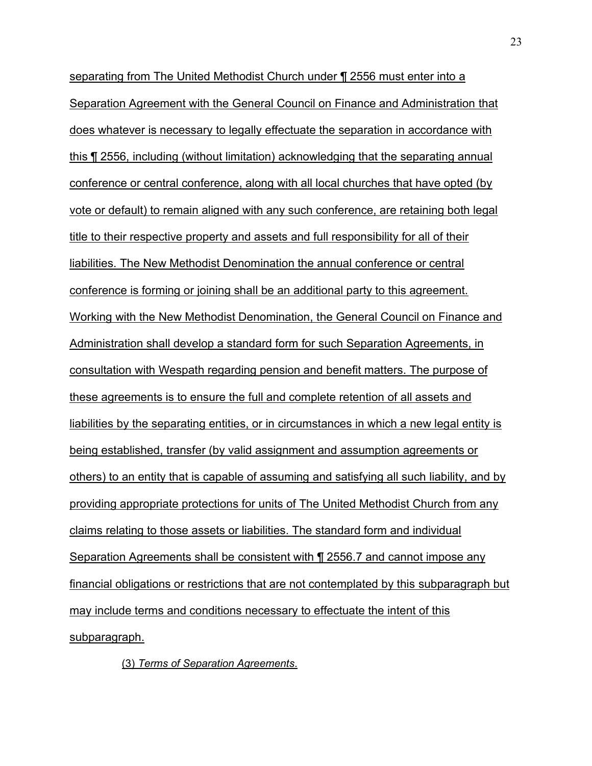separating from The United Methodist Church under ¶ 2556 must enter into a Separation Agreement with the General Council on Finance and Administration that does whatever is necessary to legally effectuate the separation in accordance with this ¶ 2556, including (without limitation) acknowledging that the separating annual conference or central conference, along with all local churches that have opted (by vote or default) to remain aligned with any such conference, are retaining both legal title to their respective property and assets and full responsibility for all of their liabilities. The New Methodist Denomination the annual conference or central conference is forming or joining shall be an additional party to this agreement. Working with the New Methodist Denomination, the General Council on Finance and Administration shall develop a standard form for such Separation Agreements, in consultation with Wespath regarding pension and benefit matters. The purpose of these agreements is to ensure the full and complete retention of all assets and liabilities by the separating entities, or in circumstances in which a new legal entity is being established, transfer (by valid assignment and assumption agreements or others) to an entity that is capable of assuming and satisfying all such liability, and by providing appropriate protections for units of The United Methodist Church from any claims relating to those assets or liabilities. The standard form and individual Separation Agreements shall be consistent with ¶ 2556.7 and cannot impose any financial obligations or restrictions that are not contemplated by this subparagraph but may include terms and conditions necessary to effectuate the intent of this subparagraph.

(3) *Terms of Separation Agreements*.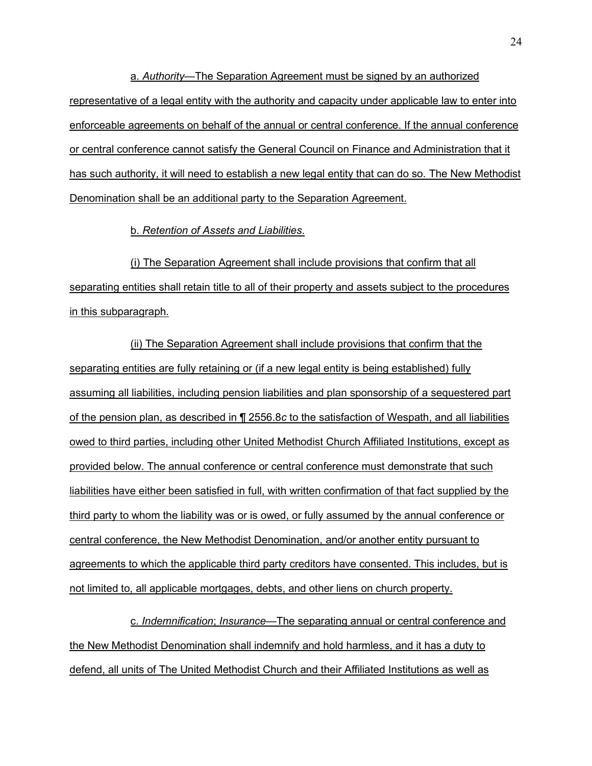a. *Authorityó*The Separation Agreement must be signed by an authorized representative of a legal entity with the authority and capacity under applicable law to enter into enforceable agreements on behalf of the annual or central conference. If the annual conference or central conference cannot satisfy the General Council on Finance and Administration that it has such authority, it will need to establish a new legal entity that can do so. The New Methodist Denomination shall be an additional party to the Separation Agreement.

b. *Retention of Assets and Liabilities*.

(i) The Separation Agreement shall include provisions that confirm that all separating entities shall retain title to all of their property and assets subject to the procedures in this subparagraph.

(ii) The Separation Agreement shall include provisions that confirm that the separating entities are fully retaining or (if a new legal entity is being established) fully assuming all liabilities, including pension liabilities and plan sponsorship of a sequestered part of the pension plan, as described in ¶ 2556.8*c* to the satisfaction of Wespath, and all liabilities owed to third parties, including other United Methodist Church Affiliated Institutions, except as provided below. The annual conference or central conference must demonstrate that such liabilities have either been satisfied in full, with written confirmation of that fact supplied by the third party to whom the liability was or is owed, or fully assumed by the annual conference or central conference, the New Methodist Denomination, and/or another entity pursuant to agreements to which the applicable third party creditors have consented. This includes, but is not limited to, all applicable mortgages, debts, and other liens on church property.

c. *Indemnification*; *Insurance*—The separating annual or central conference and the New Methodist Denomination shall indemnify and hold harmless, and it has a duty to defend, all units of The United Methodist Church and their Affiliated Institutions as well as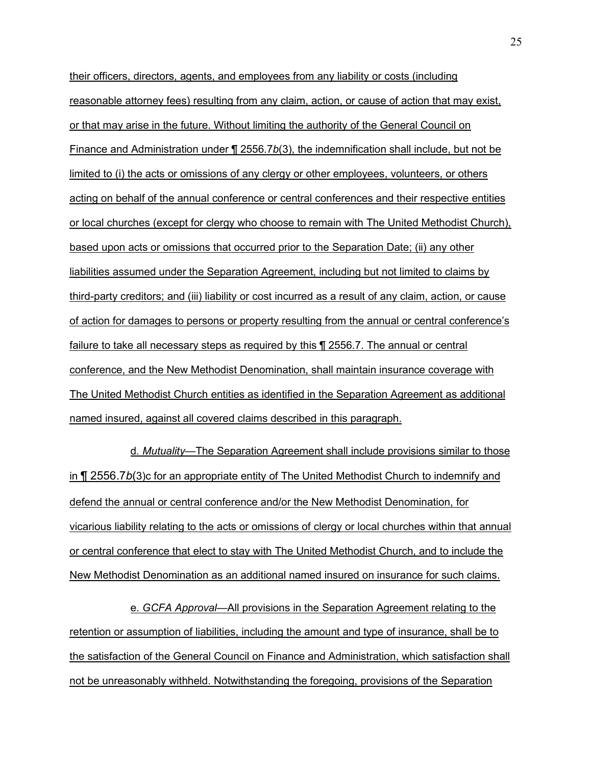their officers, directors, agents, and employees from any liability or costs (including reasonable attorney fees) resulting from any claim, action, or cause of action that may exist, or that may arise in the future. Without limiting the authority of the General Council on Finance and Administration under ¶ 2556.7*b*(3), the indemnification shall include, but not be limited to (i) the acts or omissions of any clergy or other employees, volunteers, or others acting on behalf of the annual conference or central conferences and their respective entities or local churches (except for clergy who choose to remain with The United Methodist Church), based upon acts or omissions that occurred prior to the Separation Date; (ii) any other liabilities assumed under the Separation Agreement, including but not limited to claims by third-party creditors; and (iii) liability or cost incurred as a result of any claim, action, or cause of action for damages to persons or property resulting from the annual or central conferenceís failure to take all necessary steps as required by this ¶ 2556.7. The annual or central conference, and the New Methodist Denomination, shall maintain insurance coverage with The United Methodist Church entities as identified in the Separation Agreement as additional named insured, against all covered claims described in this paragraph.

d. Mutuality—The Separation Agreement shall include provisions similar to those in ¶ 2556.7*b*(3)c for an appropriate entity of The United Methodist Church to indemnify and defend the annual or central conference and/or the New Methodist Denomination, for vicarious liability relating to the acts or omissions of clergy or local churches within that annual or central conference that elect to stay with The United Methodist Church, and to include the New Methodist Denomination as an additional named insured on insurance for such claims.

e. *GCFA Approval*—All provisions in the Separation Agreement relating to the retention or assumption of liabilities, including the amount and type of insurance, shall be to the satisfaction of the General Council on Finance and Administration, which satisfaction shall not be unreasonably withheld. Notwithstanding the foregoing, provisions of the Separation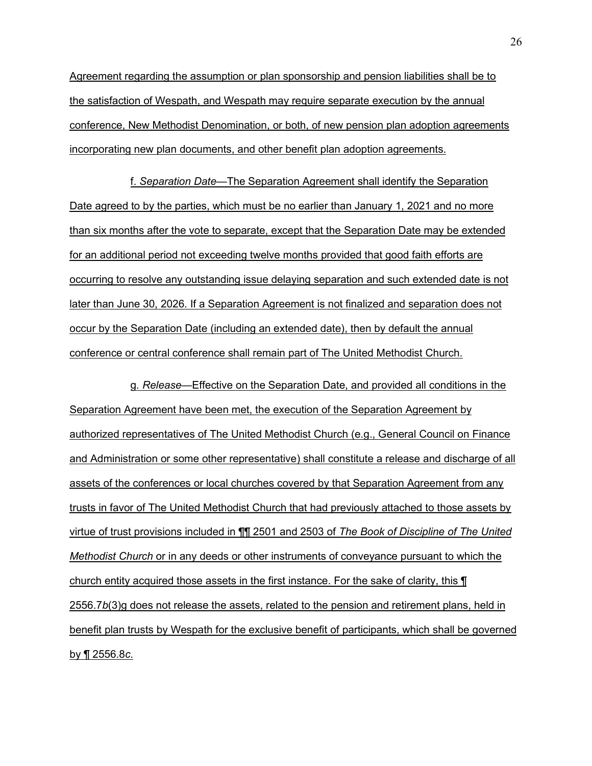Agreement regarding the assumption or plan sponsorship and pension liabilities shall be to the satisfaction of Wespath, and Wespath may require separate execution by the annual conference, New Methodist Denomination, or both, of new pension plan adoption agreements incorporating new plan documents, and other benefit plan adoption agreements.

f. *Separation Dateó*The Separation Agreement shall identify the Separation Date agreed to by the parties, which must be no earlier than January 1, 2021 and no more than six months after the vote to separate, except that the Separation Date may be extended for an additional period not exceeding twelve months provided that good faith efforts are occurring to resolve any outstanding issue delaying separation and such extended date is not later than June 30, 2026. If a Separation Agreement is not finalized and separation does not occur by the Separation Date (including an extended date), then by default the annual conference or central conference shall remain part of The United Methodist Church.

g*. Releaseó*Effective on the Separation Date, and provided all conditions in the Separation Agreement have been met, the execution of the Separation Agreement by authorized representatives of The United Methodist Church (e.g., General Council on Finance and Administration or some other representative) shall constitute a release and discharge of all assets of the conferences or local churches covered by that Separation Agreement from any trusts in favor of The United Methodist Church that had previously attached to those assets by virtue of trust provisions included in ¶¶ 2501 and 2503 of *The Book of Discipline of The United Methodist Church* or in any deeds or other instruments of conveyance pursuant to which the church entity acquired those assets in the first instance. For the sake of clarity, this ¶ 2556.7*b*(3)g does not release the assets, related to the pension and retirement plans, held in benefit plan trusts by Wespath for the exclusive benefit of participants, which shall be governed by ¶ 2556.8*c*.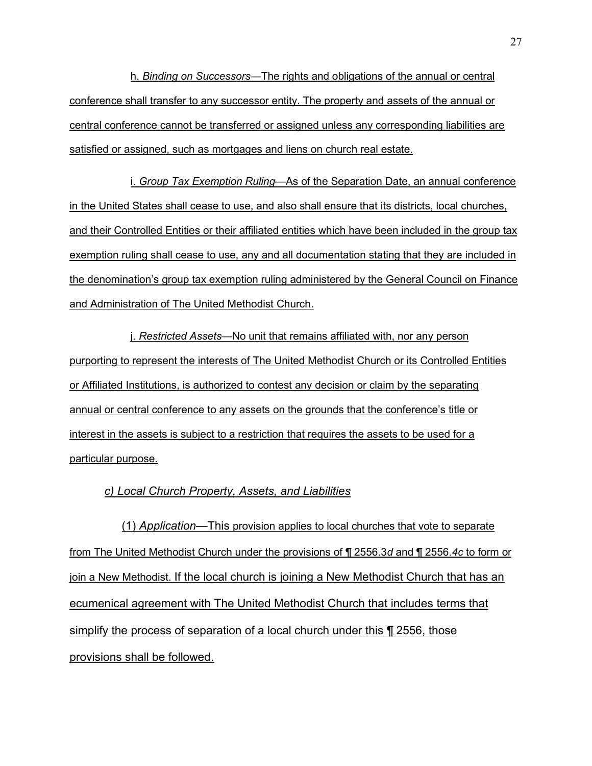h. *Binding on Successors*—The rights and obligations of the annual or central conference shall transfer to any successor entity. The property and assets of the annual or central conference cannot be transferred or assigned unless any corresponding liabilities are satisfied or assigned, such as mortgages and liens on church real estate.

i. *Group Tax Exemption Ruling*—As of the Separation Date, an annual conference in the United States shall cease to use, and also shall ensure that its districts, local churches, and their Controlled Entities or their affiliated entities which have been included in the group tax exemption ruling shall cease to use, any and all documentation stating that they are included in the denominationís group tax exemption ruling administered by the General Council on Finance and Administration of The United Methodist Church.

j. Restricted Assets—No unit that remains affiliated with, nor any person purporting to represent the interests of The United Methodist Church or its Controlled Entities or Affiliated Institutions, is authorized to contest any decision or claim by the separating annual or central conference to any assets on the grounds that the conference's title or interest in the assets is subject to a restriction that requires the assets to be used for a particular purpose.

## *c) Local Church Property, Assets, and Liabilities*

(1) Application—This provision applies to local churches that vote to separate from The United Methodist Church under the provisions of ¶ 2556.3*d* and ¶ 2556.*4c* to form or join a New Methodist. If the local church is joining a New Methodist Church that has an ecumenical agreement with The United Methodist Church that includes terms that simplify the process of separation of a local church under this ¶ 2556, those provisions shall be followed.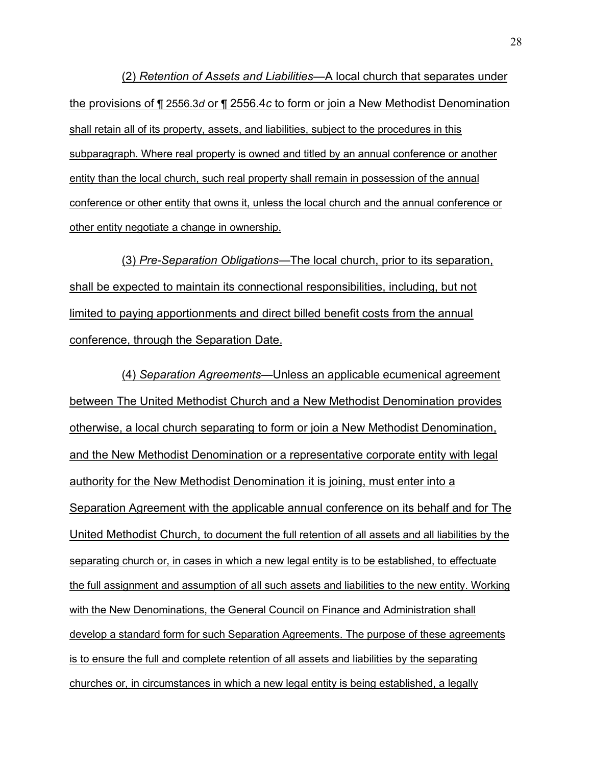(2) *Retention of Assets and Liabilities*—A local church that separates under the provisions of ¶ 2556.3*d* or ¶ 2556.4*c* to form or join a New Methodist Denomination shall retain all of its property, assets, and liabilities, subject to the procedures in this subparagraph. Where real property is owned and titled by an annual conference or another entity than the local church, such real property shall remain in possession of the annual conference or other entity that owns it, unless the local church and the annual conference or other entity negotiate a change in ownership.

(3) *Pre-Separation Obligations*—The local church, prior to its separation, shall be expected to maintain its connectional responsibilities, including, but not limited to paying apportionments and direct billed benefit costs from the annual conference, through the Separation Date.

(4) *Separation Agreementsó*Unless an applicable ecumenical agreement between The United Methodist Church and a New Methodist Denomination provides otherwise, a local church separating to form or join a New Methodist Denomination, and the New Methodist Denomination or a representative corporate entity with legal authority for the New Methodist Denomination it is joining, must enter into a Separation Agreement with the applicable annual conference on its behalf and for The United Methodist Church, to document the full retention of all assets and all liabilities by the separating church or, in cases in which a new legal entity is to be established, to effectuate the full assignment and assumption of all such assets and liabilities to the new entity. Working with the New Denominations, the General Council on Finance and Administration shall develop a standard form for such Separation Agreements. The purpose of these agreements is to ensure the full and complete retention of all assets and liabilities by the separating churches or, in circumstances in which a new legal entity is being established, a legally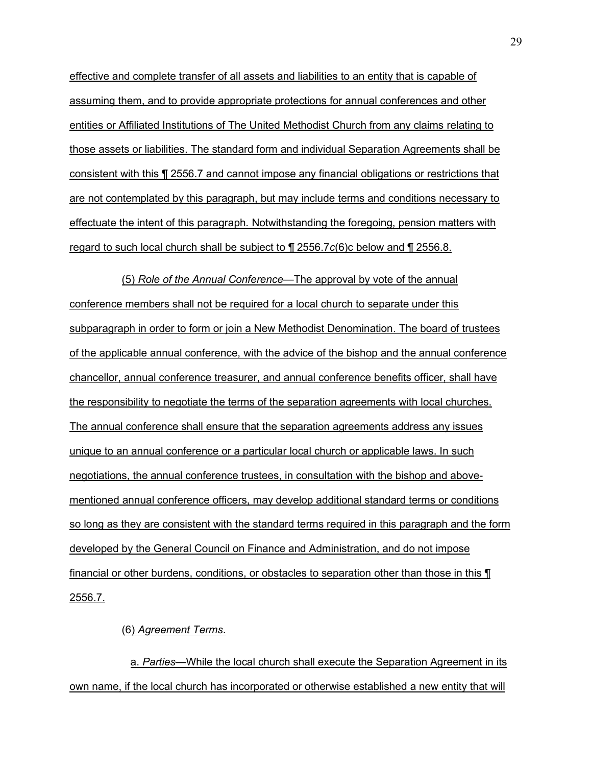effective and complete transfer of all assets and liabilities to an entity that is capable of assuming them, and to provide appropriate protections for annual conferences and other entities or Affiliated Institutions of The United Methodist Church from any claims relating to those assets or liabilities. The standard form and individual Separation Agreements shall be consistent with this ¶ 2556.7 and cannot impose any financial obligations or restrictions that are not contemplated by this paragraph, but may include terms and conditions necessary to effectuate the intent of this paragraph. Notwithstanding the foregoing, pension matters with regard to such local church shall be subject to ¶ 2556.7*c*(6)c below and ¶ 2556.8.

(5) *Role of the Annual Conference*—The approval by vote of the annual conference members shall not be required for a local church to separate under this subparagraph in order to form or join a New Methodist Denomination. The board of trustees of the applicable annual conference, with the advice of the bishop and the annual conference chancellor, annual conference treasurer, and annual conference benefits officer, shall have the responsibility to negotiate the terms of the separation agreements with local churches. The annual conference shall ensure that the separation agreements address any issues unique to an annual conference or a particular local church or applicable laws. In such negotiations, the annual conference trustees, in consultation with the bishop and abovementioned annual conference officers, may develop additional standard terms or conditions so long as they are consistent with the standard terms required in this paragraph and the form developed by the General Council on Finance and Administration, and do not impose financial or other burdens, conditions, or obstacles to separation other than those in this  $\P$ 2556.7.

(6) *Agreement Terms*.

a. Parties—While the local church shall execute the Separation Agreement in its own name, if the local church has incorporated or otherwise established a new entity that will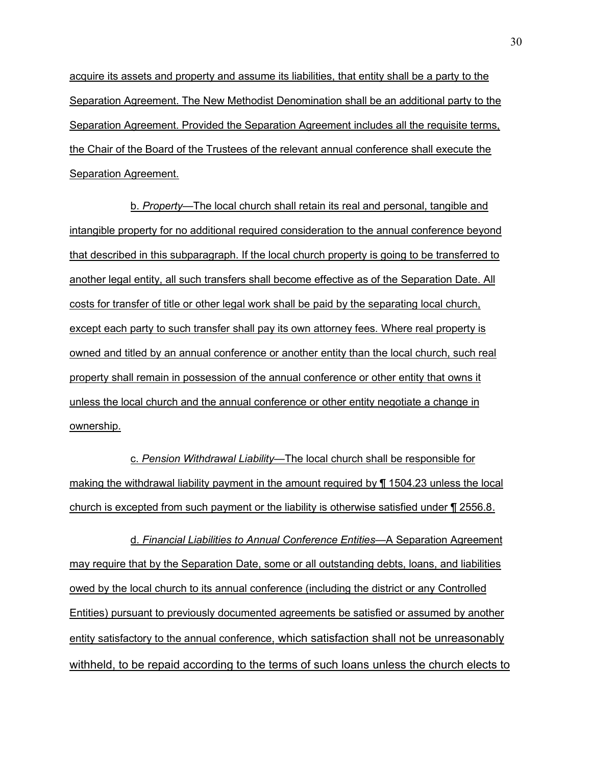acquire its assets and property and assume its liabilities, that entity shall be a party to the Separation Agreement. The New Methodist Denomination shall be an additional party to the Separation Agreement. Provided the Separation Agreement includes all the requisite terms, the Chair of the Board of the Trustees of the relevant annual conference shall execute the Separation Agreement.

b. *Property*—The local church shall retain its real and personal, tangible and intangible property for no additional required consideration to the annual conference beyond that described in this subparagraph. If the local church property is going to be transferred to another legal entity, all such transfers shall become effective as of the Separation Date. All costs for transfer of title or other legal work shall be paid by the separating local church, except each party to such transfer shall pay its own attorney fees. Where real property is owned and titled by an annual conference or another entity than the local church, such real property shall remain in possession of the annual conference or other entity that owns it unless the local church and the annual conference or other entity negotiate a change in ownership.

c. *Pension Withdrawal Liabilityó*The local church shall be responsible for making the withdrawal liability payment in the amount required by ¶ 1504.23 unless the local church is excepted from such payment or the liability is otherwise satisfied under ¶ 2556.8.

d. Financial Liabilities to Annual Conference Entities—A Separation Agreement may require that by the Separation Date, some or all outstanding debts, loans, and liabilities owed by the local church to its annual conference (including the district or any Controlled Entities) pursuant to previously documented agreements be satisfied or assumed by another entity satisfactory to the annual conference, which satisfaction shall not be unreasonably withheld, to be repaid according to the terms of such loans unless the church elects to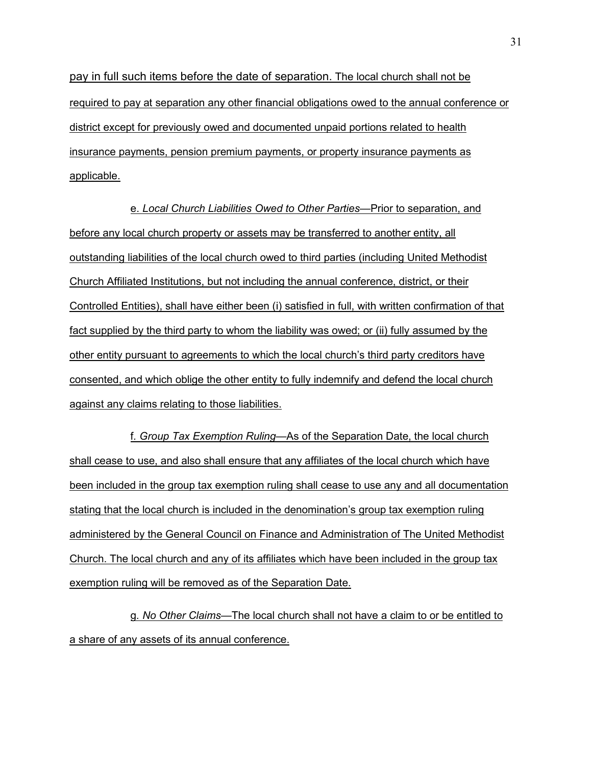pay in full such items before the date of separation. The local church shall not be required to pay at separation any other financial obligations owed to the annual conference or district except for previously owed and documented unpaid portions related to health insurance payments, pension premium payments, or property insurance payments as applicable.

e. Local Church Liabilities Owed to Other Parties—Prior to separation, and before any local church property or assets may be transferred to another entity, all outstanding liabilities of the local church owed to third parties (including United Methodist Church Affiliated Institutions, but not including the annual conference, district, or their Controlled Entities), shall have either been (i) satisfied in full, with written confirmation of that fact supplied by the third party to whom the liability was owed; or (ii) fully assumed by the other entity pursuant to agreements to which the local church's third party creditors have consented, and which oblige the other entity to fully indemnify and defend the local church against any claims relating to those liabilities.

f. Group Tax Exemption Ruling–As of the Separation Date, the local church shall cease to use, and also shall ensure that any affiliates of the local church which have been included in the group tax exemption ruling shall cease to use any and all documentation stating that the local church is included in the denomination's group tax exemption ruling administered by the General Council on Finance and Administration of The United Methodist Church. The local church and any of its affiliates which have been included in the group tax exemption ruling will be removed as of the Separation Date.

g. No Other Claims—The local church shall not have a claim to or be entitled to a share of any assets of its annual conference.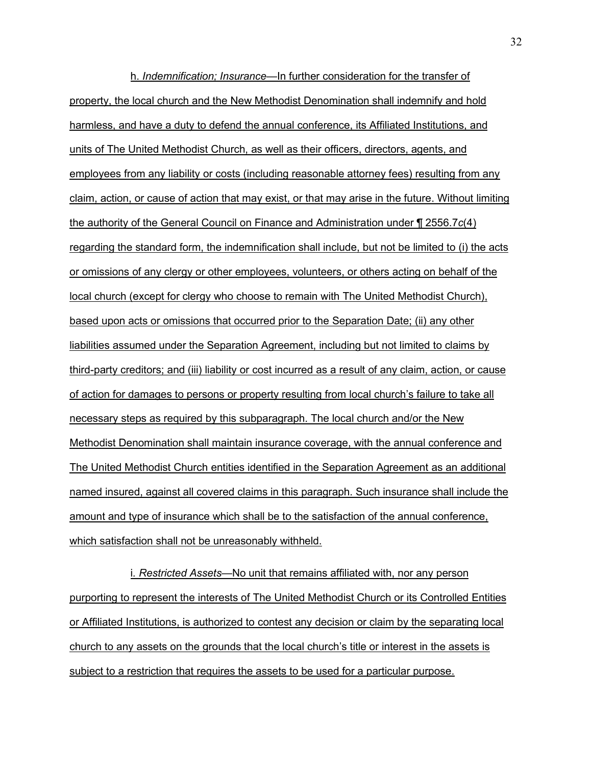h. *Indemnification; Insurance*—In further consideration for the transfer of property, the local church and the New Methodist Denomination shall indemnify and hold harmless, and have a duty to defend the annual conference, its Affiliated Institutions, and units of The United Methodist Church, as well as their officers, directors, agents, and employees from any liability or costs (including reasonable attorney fees) resulting from any claim, action, or cause of action that may exist, or that may arise in the future. Without limiting the authority of the General Council on Finance and Administration under ¶ 2556.7*c*(4) regarding the standard form, the indemnification shall include, but not be limited to (i) the acts or omissions of any clergy or other employees, volunteers, or others acting on behalf of the local church (except for clergy who choose to remain with The United Methodist Church), based upon acts or omissions that occurred prior to the Separation Date; (ii) any other liabilities assumed under the Separation Agreement, including but not limited to claims by third-party creditors; and (iii) liability or cost incurred as a result of any claim, action, or cause of action for damages to persons or property resulting from local churchís failure to take all necessary steps as required by this subparagraph. The local church and/or the New Methodist Denomination shall maintain insurance coverage, with the annual conference and The United Methodist Church entities identified in the Separation Agreement as an additional named insured, against all covered claims in this paragraph. Such insurance shall include the amount and type of insurance which shall be to the satisfaction of the annual conference, which satisfaction shall not be unreasonably withheld.

i. Restricted Assets—No unit that remains affiliated with, nor any person purporting to represent the interests of The United Methodist Church or its Controlled Entities or Affiliated Institutions, is authorized to contest any decision or claim by the separating local church to any assets on the grounds that the local church's title or interest in the assets is subject to a restriction that requires the assets to be used for a particular purpose.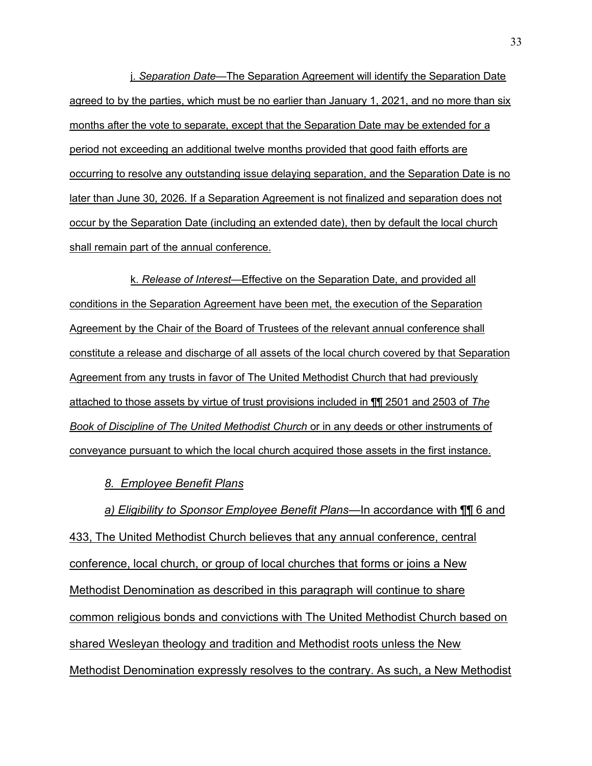j. Separation Date—The Separation Agreement will identify the Separation Date agreed to by the parties, which must be no earlier than January 1, 2021, and no more than six months after the vote to separate, except that the Separation Date may be extended for a period not exceeding an additional twelve months provided that good faith efforts are occurring to resolve any outstanding issue delaying separation, and the Separation Date is no later than June 30, 2026. If a Separation Agreement is not finalized and separation does not occur by the Separation Date (including an extended date), then by default the local church shall remain part of the annual conference.

k. Release of Interest—Effective on the Separation Date, and provided all conditions in the Separation Agreement have been met, the execution of the Separation Agreement by the Chair of the Board of Trustees of the relevant annual conference shall constitute a release and discharge of all assets of the local church covered by that Separation Agreement from any trusts in favor of The United Methodist Church that had previously attached to those assets by virtue of trust provisions included in ¶¶ 2501 and 2503 of *The Book of Discipline of The United Methodist Church* or in any deeds or other instruments of conveyance pursuant to which the local church acquired those assets in the first instance.

### *8. Employee Benefit Plans*

*a) Eligibility to Sponsor Employee Benefit Plansó*In accordance with ¶¶ 6 and 433, The United Methodist Church believes that any annual conference, central conference, local church, or group of local churches that forms or joins a New Methodist Denomination as described in this paragraph will continue to share common religious bonds and convictions with The United Methodist Church based on shared Wesleyan theology and tradition and Methodist roots unless the New Methodist Denomination expressly resolves to the contrary. As such, a New Methodist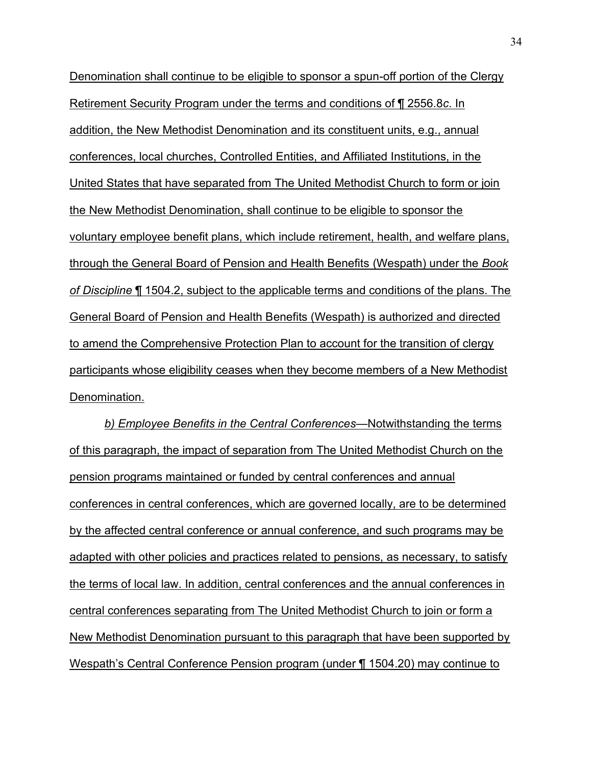Denomination shall continue to be eligible to sponsor a spun-off portion of the Clergy Retirement Security Program under the terms and conditions of ¶ 2556.8*c*. In addition, the New Methodist Denomination and its constituent units, e.g., annual conferences, local churches, Controlled Entities, and Affiliated Institutions, in the United States that have separated from The United Methodist Church to form or join the New Methodist Denomination, shall continue to be eligible to sponsor the voluntary employee benefit plans, which include retirement, health, and welfare plans, through the General Board of Pension and Health Benefits (Wespath) under the *Book of Discipline* ¶ 1504.2, subject to the applicable terms and conditions of the plans. The General Board of Pension and Health Benefits (Wespath) is authorized and directed to amend the Comprehensive Protection Plan to account for the transition of clergy participants whose eligibility ceases when they become members of a New Methodist Denomination.

**b) Employee Benefits in the Central Conferences—Notwithstanding the terms** of this paragraph, the impact of separation from The United Methodist Church on the pension programs maintained or funded by central conferences and annual conferences in central conferences, which are governed locally, are to be determined by the affected central conference or annual conference, and such programs may be adapted with other policies and practices related to pensions, as necessary, to satisfy the terms of local law. In addition, central conferences and the annual conferences in central conferences separating from The United Methodist Church to join or form a New Methodist Denomination pursuant to this paragraph that have been supported by Wespath's Central Conference Pension program (under ¶ 1504.20) may continue to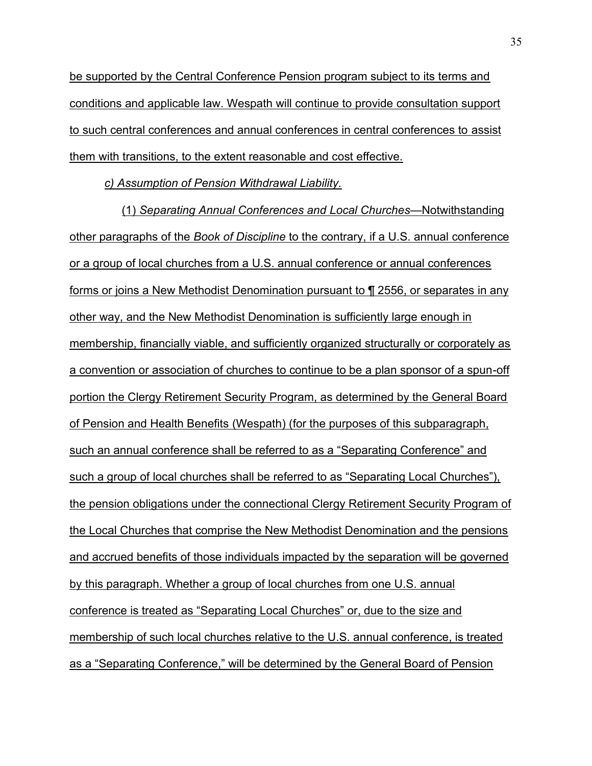be supported by the Central Conference Pension program subject to its terms and conditions and applicable law. Wespath will continue to provide consultation support to such central conferences and annual conferences in central conferences to assist them with transitions, to the extent reasonable and cost effective.

*c) Assumption of Pension Withdrawal Liability.* 

(1) Separating Annual Conferences and Local Churches—Notwithstanding other paragraphs of the *Book of Discipline* to the contrary, if a U.S. annual conference or a group of local churches from a U.S. annual conference or annual conferences forms or joins a New Methodist Denomination pursuant to ¶ 2556, or separates in any other way, and the New Methodist Denomination is sufficiently large enough in membership, financially viable, and sufficiently organized structurally or corporately as a convention or association of churches to continue to be a plan sponsor of a spun-off portion the Clergy Retirement Security Program, as determined by the General Board of Pension and Health Benefits (Wespath) (for the purposes of this subparagraph, such an annual conference shall be referred to as a "Separating Conference" and such a group of local churches shall be referred to as "Separating Local Churches"), the pension obligations under the connectional Clergy Retirement Security Program of the Local Churches that comprise the New Methodist Denomination and the pensions and accrued benefits of those individuals impacted by the separation will be governed by this paragraph. Whether a group of local churches from one U.S. annual conference is treated as "Separating Local Churches" or, due to the size and membership of such local churches relative to the U.S. annual conference, is treated as a "Separating Conference," will be determined by the General Board of Pension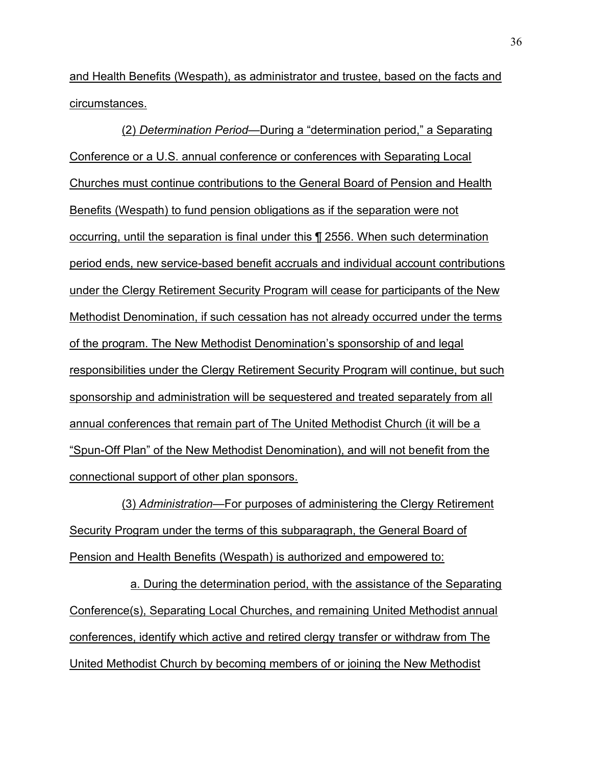and Health Benefits (Wespath), as administrator and trustee, based on the facts and circumstances.

(2) Determination Period—During a "determination period," a Separating Conference or a U.S. annual conference or conferences with Separating Local Churches must continue contributions to the General Board of Pension and Health Benefits (Wespath) to fund pension obligations as if the separation were not occurring, until the separation is final under this ¶ 2556. When such determination period ends, new service-based benefit accruals and individual account contributions under the Clergy Retirement Security Program will cease for participants of the New Methodist Denomination, if such cessation has not already occurred under the terms of the program. The New Methodist Denomination's sponsorship of and legal responsibilities under the Clergy Retirement Security Program will continue, but such sponsorship and administration will be sequestered and treated separately from all annual conferences that remain part of The United Methodist Church (it will be a "Spun-Off Plan" of the New Methodist Denomination), and will not benefit from the connectional support of other plan sponsors.

(3) Administration—For purposes of administering the Clergy Retirement Security Program under the terms of this subparagraph, the General Board of Pension and Health Benefits (Wespath) is authorized and empowered to:

a. During the determination period, with the assistance of the Separating Conference(s), Separating Local Churches, and remaining United Methodist annual conferences, identify which active and retired clergy transfer or withdraw from The United Methodist Church by becoming members of or joining the New Methodist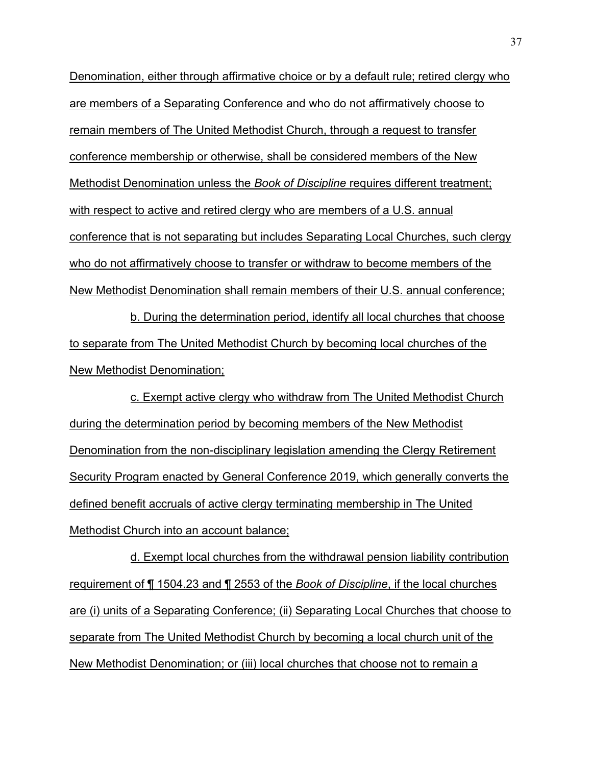Denomination, either through affirmative choice or by a default rule; retired clergy who are members of a Separating Conference and who do not affirmatively choose to remain members of The United Methodist Church, through a request to transfer conference membership or otherwise, shall be considered members of the New Methodist Denomination unless the *Book of Discipline* requires different treatment; with respect to active and retired clergy who are members of a U.S. annual conference that is not separating but includes Separating Local Churches, such clergy who do not affirmatively choose to transfer or withdraw to become members of the New Methodist Denomination shall remain members of their U.S. annual conference;

b. During the determination period, identify all local churches that choose to separate from The United Methodist Church by becoming local churches of the New Methodist Denomination;

c. Exempt active clergy who withdraw from The United Methodist Church during the determination period by becoming members of the New Methodist Denomination from the non-disciplinary legislation amending the Clergy Retirement Security Program enacted by General Conference 2019, which generally converts the defined benefit accruals of active clergy terminating membership in The United Methodist Church into an account balance;

d. Exempt local churches from the withdrawal pension liability contribution requirement of ¶ 1504.23 and ¶ 2553 of the *Book of Discipline*, if the local churches are (i) units of a Separating Conference; (ii) Separating Local Churches that choose to separate from The United Methodist Church by becoming a local church unit of the New Methodist Denomination; or (iii) local churches that choose not to remain a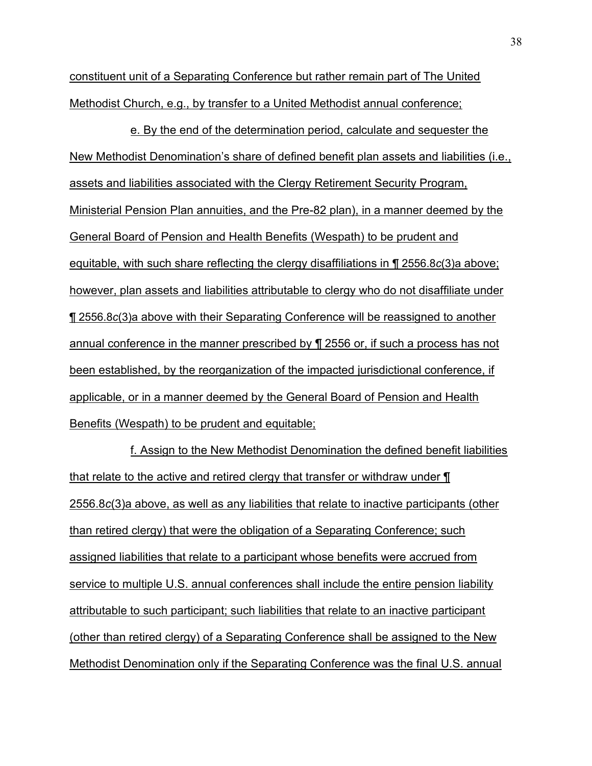constituent unit of a Separating Conference but rather remain part of The United Methodist Church, e.g., by transfer to a United Methodist annual conference;

e. By the end of the determination period, calculate and sequester the New Methodist Denomination's share of defined benefit plan assets and liabilities (i.e., assets and liabilities associated with the Clergy Retirement Security Program, Ministerial Pension Plan annuities, and the Pre-82 plan), in a manner deemed by the General Board of Pension and Health Benefits (Wespath) to be prudent and equitable, with such share reflecting the clergy disaffiliations in ¶ 2556.8*c*(3)a above; however, plan assets and liabilities attributable to clergy who do not disaffiliate under ¶ 2556.8*c*(3)a above with their Separating Conference will be reassigned to another annual conference in the manner prescribed by ¶ 2556 or, if such a process has not been established, by the reorganization of the impacted jurisdictional conference, if applicable, or in a manner deemed by the General Board of Pension and Health Benefits (Wespath) to be prudent and equitable;

f. Assign to the New Methodist Denomination the defined benefit liabilities that relate to the active and retired clergy that transfer or withdraw under ¶ 2556.8*c*(3)a above, as well as any liabilities that relate to inactive participants (other than retired clergy) that were the obligation of a Separating Conference; such assigned liabilities that relate to a participant whose benefits were accrued from service to multiple U.S. annual conferences shall include the entire pension liability attributable to such participant; such liabilities that relate to an inactive participant (other than retired clergy) of a Separating Conference shall be assigned to the New Methodist Denomination only if the Separating Conference was the final U.S. annual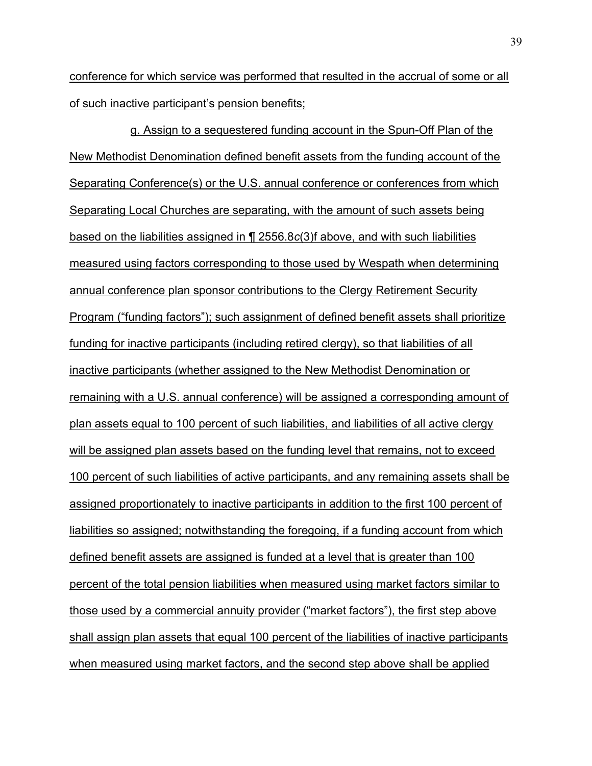conference for which service was performed that resulted in the accrual of some or all of such inactive participant's pension benefits;

g. Assign to a sequestered funding account in the Spun-Off Plan of the New Methodist Denomination defined benefit assets from the funding account of the Separating Conference(s) or the U.S. annual conference or conferences from which Separating Local Churches are separating, with the amount of such assets being based on the liabilities assigned in ¶ 2556.8*c*(3)f above, and with such liabilities measured using factors corresponding to those used by Wespath when determining annual conference plan sponsor contributions to the Clergy Retirement Security Program ("funding factors"); such assignment of defined benefit assets shall prioritize funding for inactive participants (including retired clergy), so that liabilities of all inactive participants (whether assigned to the New Methodist Denomination or remaining with a U.S. annual conference) will be assigned a corresponding amount of plan assets equal to 100 percent of such liabilities, and liabilities of all active clergy will be assigned plan assets based on the funding level that remains, not to exceed 100 percent of such liabilities of active participants, and any remaining assets shall be assigned proportionately to inactive participants in addition to the first 100 percent of liabilities so assigned; notwithstanding the foregoing, if a funding account from which defined benefit assets are assigned is funded at a level that is greater than 100 percent of the total pension liabilities when measured using market factors similar to those used by a commercial annuity provider ("market factors"), the first step above shall assign plan assets that equal 100 percent of the liabilities of inactive participants when measured using market factors, and the second step above shall be applied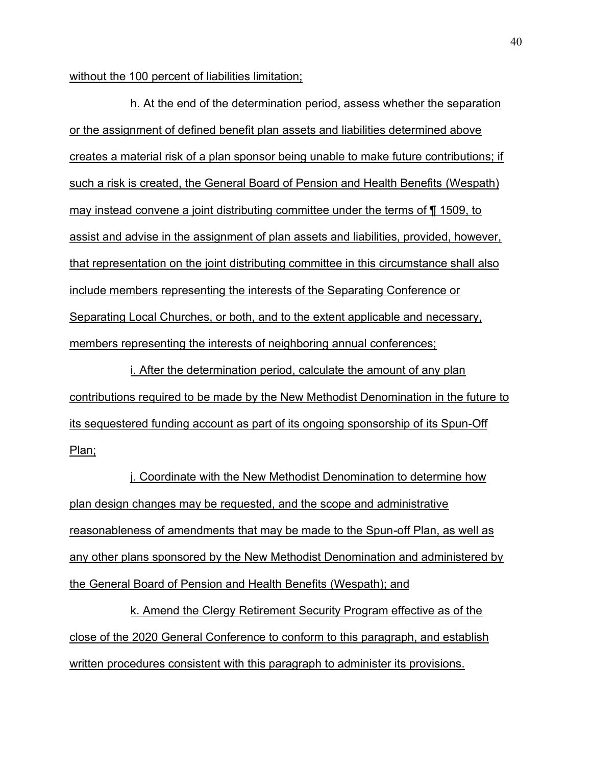without the 100 percent of liabilities limitation;

h. At the end of the determination period, assess whether the separation or the assignment of defined benefit plan assets and liabilities determined above creates a material risk of a plan sponsor being unable to make future contributions; if such a risk is created, the General Board of Pension and Health Benefits (Wespath) may instead convene a joint distributing committee under the terms of ¶ 1509, to assist and advise in the assignment of plan assets and liabilities, provided, however, that representation on the joint distributing committee in this circumstance shall also include members representing the interests of the Separating Conference or Separating Local Churches, or both, and to the extent applicable and necessary, members representing the interests of neighboring annual conferences;

i. After the determination period, calculate the amount of any plan contributions required to be made by the New Methodist Denomination in the future to its sequestered funding account as part of its ongoing sponsorship of its Spun-Off Plan;

j. Coordinate with the New Methodist Denomination to determine how plan design changes may be requested, and the scope and administrative reasonableness of amendments that may be made to the Spun-off Plan, as well as any other plans sponsored by the New Methodist Denomination and administered by the General Board of Pension and Health Benefits (Wespath); and

k. Amend the Clergy Retirement Security Program effective as of the close of the 2020 General Conference to conform to this paragraph, and establish written procedures consistent with this paragraph to administer its provisions.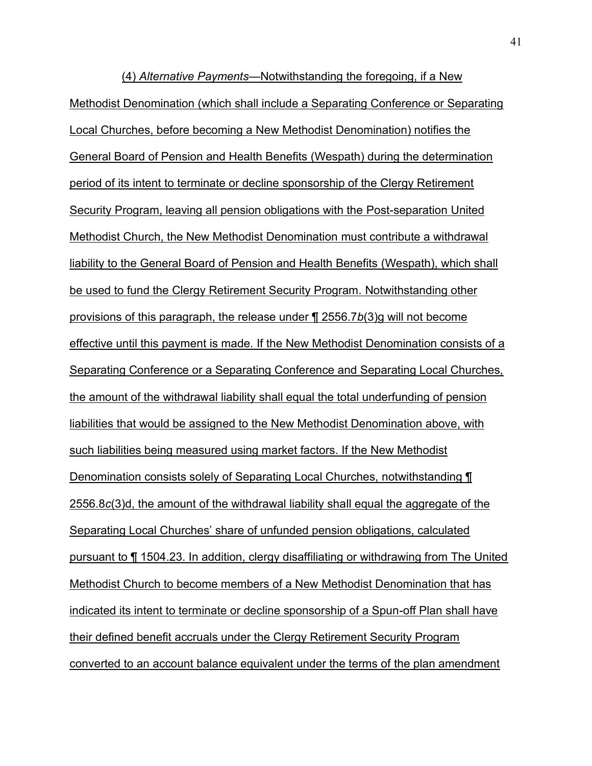(4) *Alternative Payments*—Notwithstanding the foregoing, if a New Methodist Denomination (which shall include a Separating Conference or Separating Local Churches, before becoming a New Methodist Denomination) notifies the General Board of Pension and Health Benefits (Wespath) during the determination period of its intent to terminate or decline sponsorship of the Clergy Retirement Security Program, leaving all pension obligations with the Post-separation United Methodist Church, the New Methodist Denomination must contribute a withdrawal liability to the General Board of Pension and Health Benefits (Wespath), which shall be used to fund the Clergy Retirement Security Program. Notwithstanding other provisions of this paragraph, the release under ¶ 2556.7*b*(3)g will not become effective until this payment is made. If the New Methodist Denomination consists of a Separating Conference or a Separating Conference and Separating Local Churches, the amount of the withdrawal liability shall equal the total underfunding of pension liabilities that would be assigned to the New Methodist Denomination above, with such liabilities being measured using market factors. If the New Methodist Denomination consists solely of Separating Local Churches, notwithstanding ¶ 2556.8*c*(3)d, the amount of the withdrawal liability shall equal the aggregate of the Separating Local Churchesí share of unfunded pension obligations, calculated pursuant to ¶ 1504.23. In addition, clergy disaffiliating or withdrawing from The United Methodist Church to become members of a New Methodist Denomination that has indicated its intent to terminate or decline sponsorship of a Spun-off Plan shall have their defined benefit accruals under the Clergy Retirement Security Program converted to an account balance equivalent under the terms of the plan amendment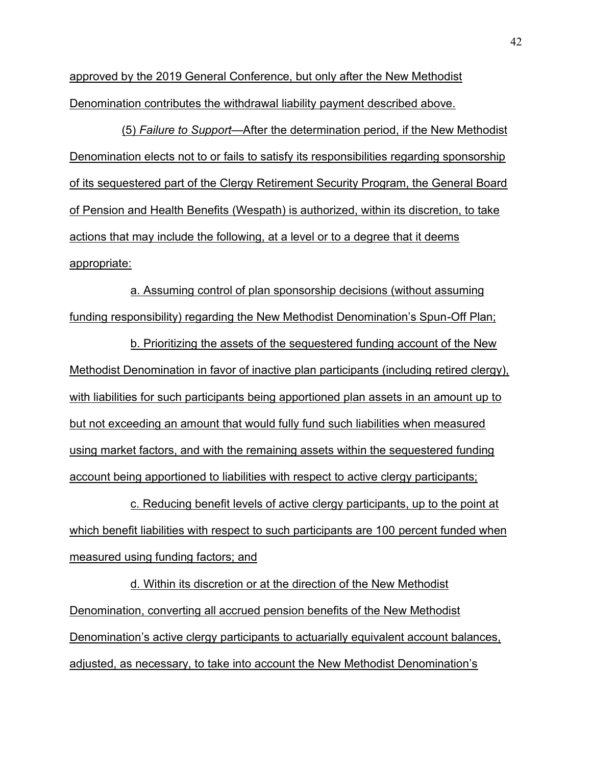approved by the 2019 General Conference, but only after the New Methodist Denomination contributes the withdrawal liability payment described above.

(5) *Failure to Supportó*After the determination period, if the New Methodist Denomination elects not to or fails to satisfy its responsibilities regarding sponsorship of its sequestered part of the Clergy Retirement Security Program, the General Board of Pension and Health Benefits (Wespath) is authorized, within its discretion, to take actions that may include the following, at a level or to a degree that it deems appropriate:

a. Assuming control of plan sponsorship decisions (without assuming funding responsibility) regarding the New Methodist Denomination's Spun-Off Plan;

b. Prioritizing the assets of the sequestered funding account of the New Methodist Denomination in favor of inactive plan participants (including retired clergy), with liabilities for such participants being apportioned plan assets in an amount up to but not exceeding an amount that would fully fund such liabilities when measured using market factors, and with the remaining assets within the sequestered funding account being apportioned to liabilities with respect to active clergy participants;

c. Reducing benefit levels of active clergy participants, up to the point at which benefit liabilities with respect to such participants are 100 percent funded when measured using funding factors; and

d. Within its discretion or at the direction of the New Methodist Denomination, converting all accrued pension benefits of the New Methodist Denomination's active clergy participants to actuarially equivalent account balances, adjusted, as necessary, to take into account the New Methodist Denomination's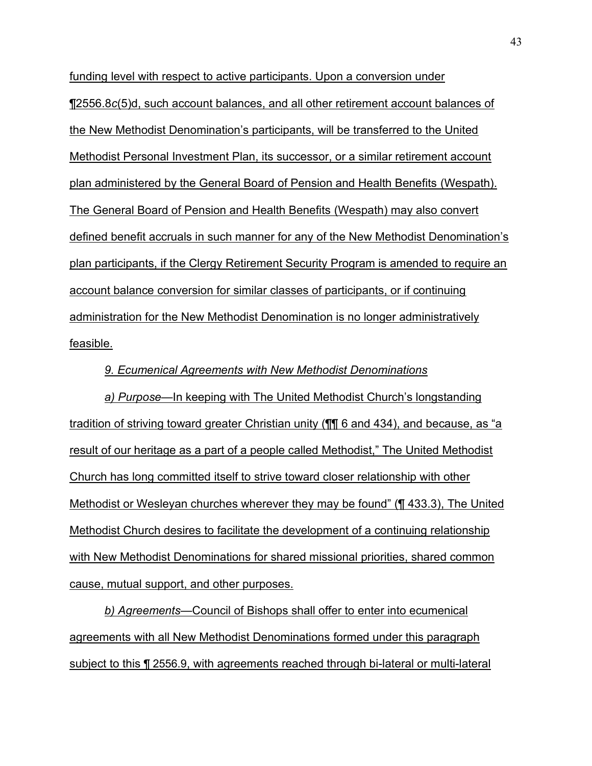funding level with respect to active participants. Upon a conversion under ¶2556.8*c*(5)d, such account balances, and all other retirement account balances of the New Methodist Denomination's participants, will be transferred to the United Methodist Personal Investment Plan, its successor, or a similar retirement account plan administered by the General Board of Pension and Health Benefits (Wespath). The General Board of Pension and Health Benefits (Wespath) may also convert defined benefit accruals in such manner for any of the New Methodist Denominationís plan participants, if the Clergy Retirement Security Program is amended to require an account balance conversion for similar classes of participants, or if continuing administration for the New Methodist Denomination is no longer administratively feasible.

### *9. Ecumenical Agreements with New Methodist Denominations*

a) Purpose—In keeping with The United Methodist Church's longstanding <u>tradition of striving toward greater Christian unity ( $\P$  $\parallel$  6 and 434), and because, as "a</u> result of our heritage as a part of a people called Methodist," The United Methodist Church has long committed itself to strive toward closer relationship with other Methodist or Wesleyan churches wherever they may be foundî (¶ 433.3), The United Methodist Church desires to facilitate the development of a continuing relationship with New Methodist Denominations for shared missional priorities, shared common cause, mutual support, and other purposes.

**b)** Agreements—Council of Bishops shall offer to enter into ecumenical agreements with all New Methodist Denominations formed under this paragraph subject to this ¶ 2556.9, with agreements reached through bi-lateral or multi-lateral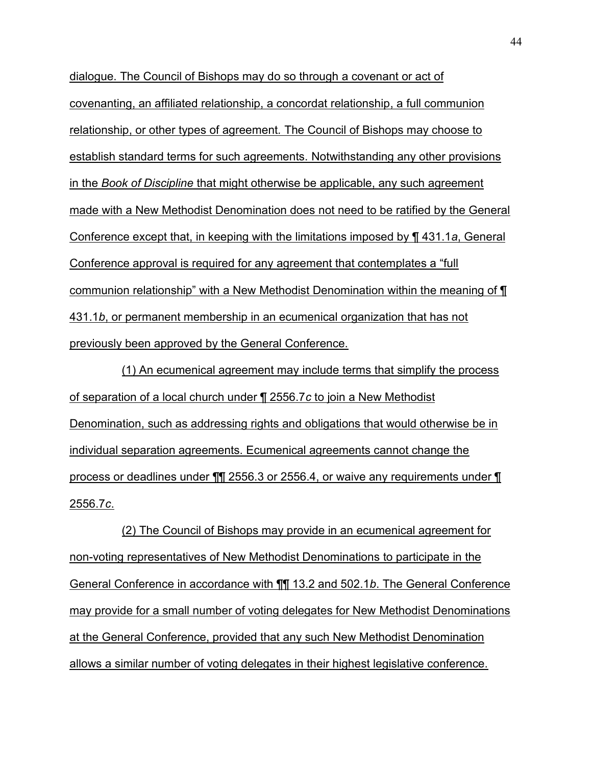dialogue. The Council of Bishops may do so through a covenant or act of covenanting, an affiliated relationship, a concordat relationship, a full communion relationship, or other types of agreement*.* The Council of Bishops may choose to establish standard terms for such agreements. Notwithstanding any other provisions in the *Book of Discipline* that might otherwise be applicable, any such agreement made with a New Methodist Denomination does not need to be ratified by the General Conference except that, in keeping with the limitations imposed by ¶ 431.1*a*, General Conference approval is required for any agreement that contemplates a "full" communion relationshipî with a New Methodist Denomination within the meaning of ¶ 431.1*b*, or permanent membership in an ecumenical organization that has not previously been approved by the General Conference.

(1) An ecumenical agreement may include terms that simplify the process of separation of a local church under ¶ 2556.7*c* to join a New Methodist Denomination, such as addressing rights and obligations that would otherwise be in individual separation agreements. Ecumenical agreements cannot change the process or deadlines under ¶¶ 2556.3 or 2556.4, or waive any requirements under ¶ 2556.7*c*.

(2) The Council of Bishops may provide in an ecumenical agreement for non-voting representatives of New Methodist Denominations to participate in the General Conference in accordance with ¶¶ 13.2 and 502.1*b*. The General Conference may provide for a small number of voting delegates for New Methodist Denominations at the General Conference, provided that any such New Methodist Denomination allows a similar number of voting delegates in their highest legislative conference.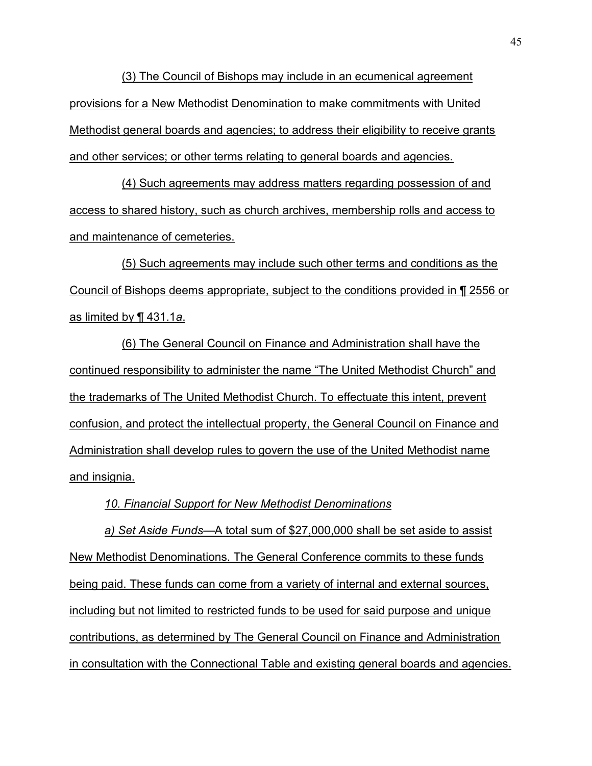(3) The Council of Bishops may include in an ecumenical agreement provisions for a New Methodist Denomination to make commitments with United Methodist general boards and agencies; to address their eligibility to receive grants and other services; or other terms relating to general boards and agencies.

(4) Such agreements may address matters regarding possession of and access to shared history, such as church archives, membership rolls and access to and maintenance of cemeteries.

(5) Such agreements may include such other terms and conditions as the Council of Bishops deems appropriate, subject to the conditions provided in ¶ 2556 or as limited by ¶ 431.1*a*.

(6) The General Council on Finance and Administration shall have the continued responsibility to administer the name "The United Methodist Church" and the trademarks of The United Methodist Church. To effectuate this intent, prevent confusion, and protect the intellectual property, the General Council on Finance and Administration shall develop rules to govern the use of the United Methodist name and insignia.

*10. Financial Support for New Methodist Denominations* 

a) Set Aside Funds—A total sum of \$27,000,000 shall be set aside to assist New Methodist Denominations. The General Conference commits to these funds being paid. These funds can come from a variety of internal and external sources, including but not limited to restricted funds to be used for said purpose and unique contributions, as determined by The General Council on Finance and Administration in consultation with the Connectional Table and existing general boards and agencies.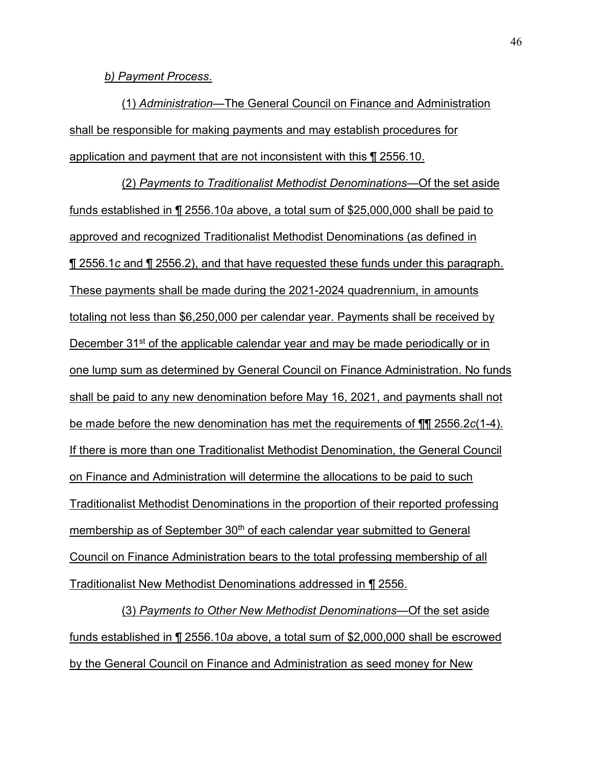*b) Payment Process*.

(1) *Administration*—The General Council on Finance and Administration shall be responsible for making payments and may establish procedures for application and payment that are not inconsistent with this ¶ 2556.10.

(2) *Payments to Traditionalist Methodist Denominations*—Of the set aside funds established in ¶ 2556.10*a* above, a total sum of \$25,000,000 shall be paid to approved and recognized Traditionalist Methodist Denominations (as defined in ¶ 2556.1*c* and ¶ 2556.2), and that have requested these funds under this paragraph. These payments shall be made during the 2021-2024 quadrennium, in amounts totaling not less than \$6,250,000 per calendar year. Payments shall be received by December 31<sup>st</sup> of the applicable calendar year and may be made periodically or in one lump sum as determined by General Council on Finance Administration. No funds shall be paid to any new denomination before May 16, 2021, and payments shall not be made before the new denomination has met the requirements of ¶¶ 2556.2*c*(1-4). If there is more than one Traditionalist Methodist Denomination, the General Council on Finance and Administration will determine the allocations to be paid to such Traditionalist Methodist Denominations in the proportion of their reported professing membership as of September 30<sup>th</sup> of each calendar year submitted to General Council on Finance Administration bears to the total professing membership of all Traditionalist New Methodist Denominations addressed in ¶ 2556.

(3) *Payments to Other New Methodist Denominations*—Of the set aside funds established in ¶ 2556.10*a* above, a total sum of \$2,000,000 shall be escrowed by the General Council on Finance and Administration as seed money for New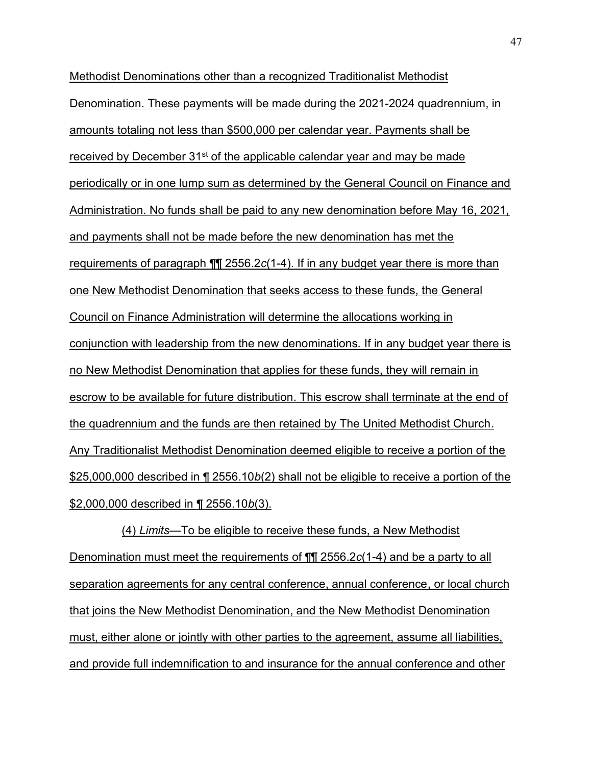Methodist Denominations other than a recognized Traditionalist Methodist Denomination. These payments will be made during the 2021-2024 quadrennium, in amounts totaling not less than \$500,000 per calendar year. Payments shall be received by December 31<sup>st</sup> of the applicable calendar year and may be made periodically or in one lump sum as determined by the General Council on Finance and Administration. No funds shall be paid to any new denomination before May 16, 2021, and payments shall not be made before the new denomination has met the requirements of paragraph ¶¶ 2556.2*c*(1-4). If in any budget year there is more than one New Methodist Denomination that seeks access to these funds, the General Council on Finance Administration will determine the allocations working in conjunction with leadership from the new denominations. If in any budget year there is no New Methodist Denomination that applies for these funds, they will remain in escrow to be available for future distribution. This escrow shall terminate at the end of the quadrennium and the funds are then retained by The United Methodist Church. Any Traditionalist Methodist Denomination deemed eligible to receive a portion of the \$25,000,000 described in ¶ 2556.10*b*(2) shall not be eligible to receive a portion of the \$2,000,000 described in ¶ 2556.10*b*(3).

(4) Limits—To be eligible to receive these funds, a New Methodist Denomination must meet the requirements of ¶¶ 2556.2*c*(1-4) and be a party to all separation agreements for any central conference, annual conference, or local church that joins the New Methodist Denomination, and the New Methodist Denomination must, either alone or jointly with other parties to the agreement, assume all liabilities, and provide full indemnification to and insurance for the annual conference and other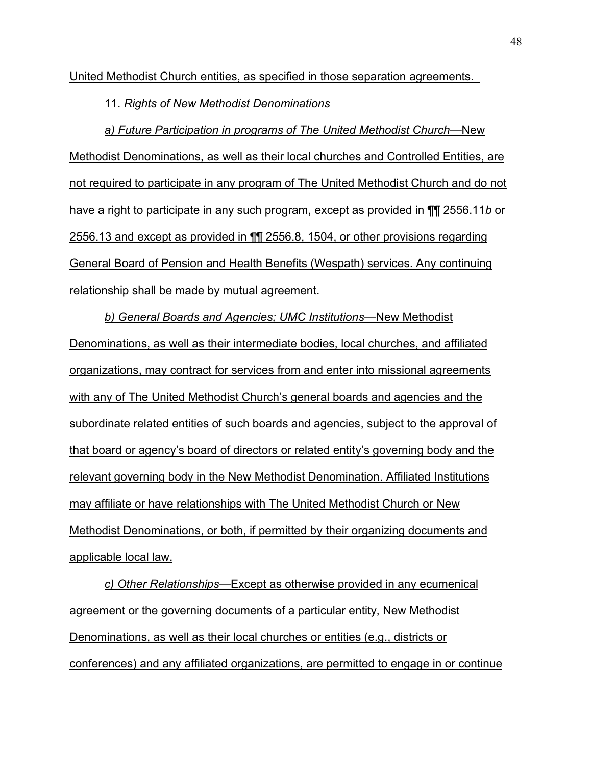United Methodist Church entities, as specified in those separation agreements.

11. *Rights of New Methodist Denominations*

*a*) Future Participation in programs of The United Methodist Church—New Methodist Denominations, as well as their local churches and Controlled Entities, are not required to participate in any program of The United Methodist Church and do not have a right to participate in any such program, except as provided in ¶¶ 2556.11*b* or 2556.13 and except as provided in ¶¶ 2556.8, 1504, or other provisions regarding General Board of Pension and Health Benefits (Wespath) services. Any continuing relationship shall be made by mutual agreement.

**b) General Boards and Agencies; UMC Institutions—New Methodist** Denominations, as well as their intermediate bodies, local churches, and affiliated organizations, may contract for services from and enter into missional agreements with any of The United Methodist Church's general boards and agencies and the subordinate related entities of such boards and agencies, subject to the approval of that board or agencyís board of directors or related entityís governing body and the relevant governing body in the New Methodist Denomination. Affiliated Institutions may affiliate or have relationships with The United Methodist Church or New Methodist Denominations, or both, if permitted by their organizing documents and applicable local law.

*c*) *Other Relationships*—Except as otherwise provided in any ecumenical agreement or the governing documents of a particular entity, New Methodist Denominations, as well as their local churches or entities (e.g., districts or conferences) and any affiliated organizations, are permitted to engage in or continue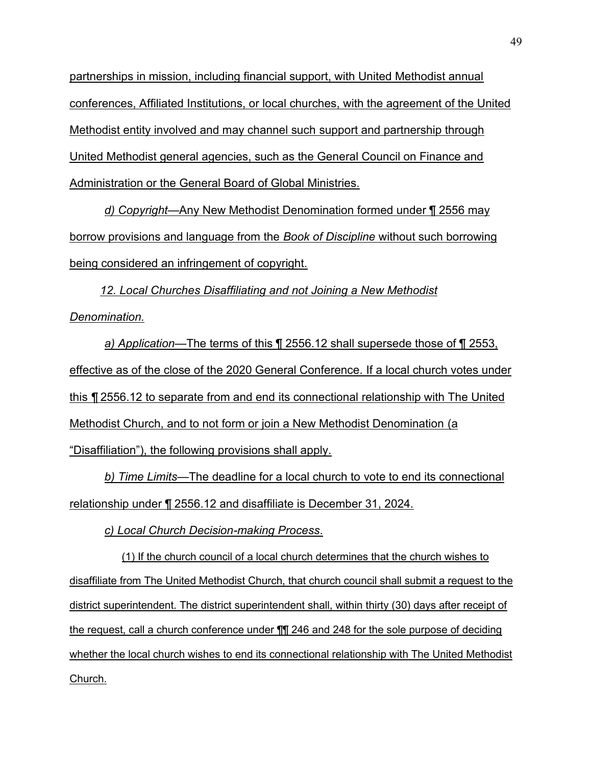partnerships in mission, including financial support, with United Methodist annual conferences, Affiliated Institutions, or local churches, with the agreement of the United Methodist entity involved and may channel such support and partnership through United Methodist general agencies, such as the General Council on Finance and Administration or the General Board of Global Ministries.

*d) Copyright*—Any New Methodist Denomination formed under ¶ 2556 may borrow provisions and language from the *Book of Discipline* without such borrowing being considered an infringement of copyright.

*12. Local Churches Disaffiliating and not Joining a New Methodist Denomination.* 

*a) Application*—The terms of this ¶ 2556.12 shall supersede those of ¶ 2553, effective as of the close of the 2020 General Conference. If a local church votes under this *¶* 2556.12 to separate from and end its connectional relationship with The United Methodist Church, and to not form or join a New Methodist Denomination (a "Disaffiliation"), the following provisions shall apply.

*b) Time Limits*—The deadline for a local church to vote to end its connectional relationship under ¶ 2556.12 and disaffiliate is December 31, 2024.

*c) Local Church Decision-making Process*.

(1) If the church council of a local church determines that the church wishes to disaffiliate from The United Methodist Church, that church council shall submit a request to the district superintendent. The district superintendent shall, within thirty (30) days after receipt of the request, call a church conference under ¶¶ 246 and 248 for the sole purpose of deciding whether the local church wishes to end its connectional relationship with The United Methodist Church.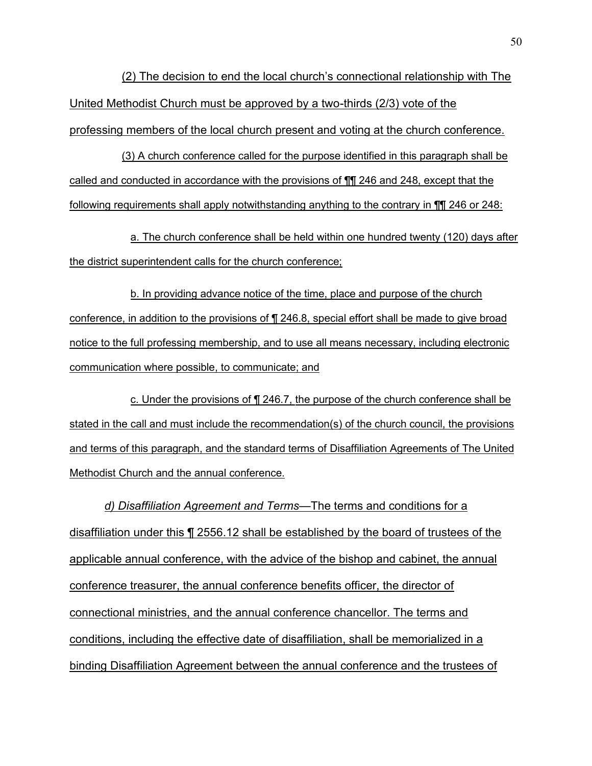(2) The decision to end the local churchís connectional relationship with The United Methodist Church must be approved by a two-thirds (2/3) vote of the professing members of the local church present and voting at the church conference.

(3) A church conference called for the purpose identified in this paragraph shall be called and conducted in accordance with the provisions of ¶¶ 246 and 248, except that the following requirements shall apply notwithstanding anything to the contrary in ¶¶ 246 or 248:

a. The church conference shall be held within one hundred twenty (120) days after the district superintendent calls for the church conference;

b. In providing advance notice of the time, place and purpose of the church conference, in addition to the provisions of ¶ 246.8, special effort shall be made to give broad notice to the full professing membership, and to use all means necessary, including electronic communication where possible, to communicate; and

c. Under the provisions of ¶ 246.7, the purpose of the church conference shall be stated in the call and must include the recommendation(s) of the church council, the provisions and terms of this paragraph, and the standard terms of Disaffiliation Agreements of The United Methodist Church and the annual conference.

*d) Disaffiliation Agreement and Terms*—The terms and conditions for a disaffiliation under this ¶ 2556.12 shall be established by the board of trustees of the applicable annual conference, with the advice of the bishop and cabinet, the annual conference treasurer, the annual conference benefits officer, the director of connectional ministries, and the annual conference chancellor. The terms and conditions, including the effective date of disaffiliation, shall be memorialized in a binding Disaffiliation Agreement between the annual conference and the trustees of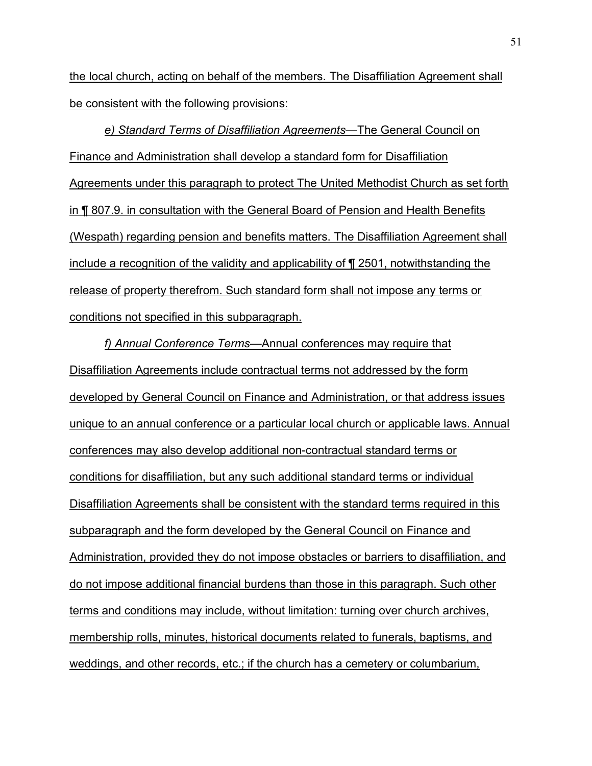the local church, acting on behalf of the members. The Disaffiliation Agreement shall be consistent with the following provisions:

*e)* Standard Terms of Disaffiliation Agreements—The General Council on Finance and Administration shall develop a standard form for Disaffiliation Agreements under this paragraph to protect The United Methodist Church as set forth in ¶ 807.9. in consultation with the General Board of Pension and Health Benefits (Wespath) regarding pension and benefits matters. The Disaffiliation Agreement shall include a recognition of the validity and applicability of ¶ 2501, notwithstanding the release of property therefrom. Such standard form shall not impose any terms or conditions not specified in this subparagraph.

f) Annual Conference Terms—Annual conferences may require that Disaffiliation Agreements include contractual terms not addressed by the form developed by General Council on Finance and Administration, or that address issues unique to an annual conference or a particular local church or applicable laws. Annual conferences may also develop additional non-contractual standard terms or conditions for disaffiliation, but any such additional standard terms or individual Disaffiliation Agreements shall be consistent with the standard terms required in this subparagraph and the form developed by the General Council on Finance and Administration, provided they do not impose obstacles or barriers to disaffiliation, and do not impose additional financial burdens than those in this paragraph. Such other terms and conditions may include, without limitation: turning over church archives, membership rolls, minutes, historical documents related to funerals, baptisms, and weddings, and other records, etc.; if the church has a cemetery or columbarium,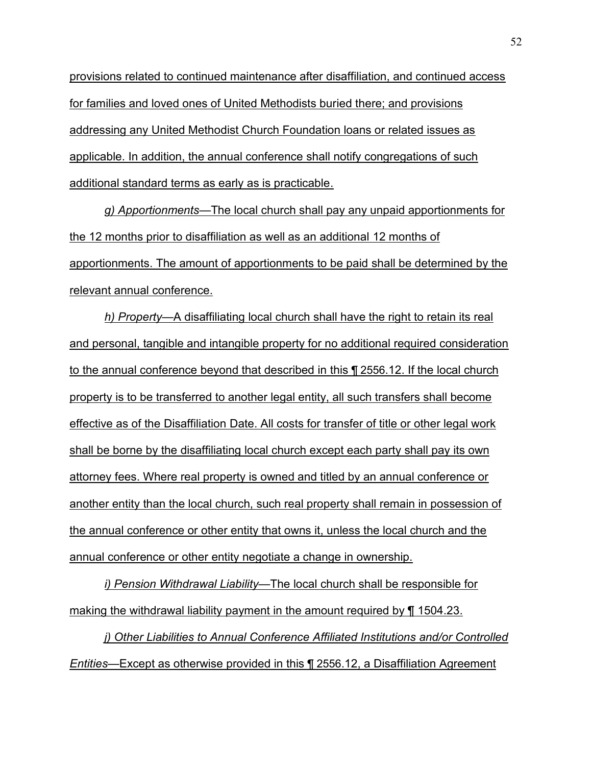provisions related to continued maintenance after disaffiliation, and continued access for families and loved ones of United Methodists buried there; and provisions addressing any United Methodist Church Foundation loans or related issues as applicable. In addition, the annual conference shall notify congregations of such additional standard terms as early as is practicable.

*g) Apportionments*—The local church shall pay any unpaid apportionments for the 12 months prior to disaffiliation as well as an additional 12 months of apportionments. The amount of apportionments to be paid shall be determined by the relevant annual conference.

*h) Property*—A disaffiliating local church shall have the right to retain its real and personal, tangible and intangible property for no additional required consideration to the annual conference beyond that described in this ¶ 2556.12. If the local church property is to be transferred to another legal entity, all such transfers shall become effective as of the Disaffiliation Date. All costs for transfer of title or other legal work shall be borne by the disaffiliating local church except each party shall pay its own attorney fees. Where real property is owned and titled by an annual conference or another entity than the local church, such real property shall remain in possession of the annual conference or other entity that owns it, unless the local church and the annual conference or other entity negotiate a change in ownership.

*i)* Pension Withdrawal Liability—The local church shall be responsible for making the withdrawal liability payment in the amount required by ¶ 1504.23.

*j) Other Liabilities to Annual Conference Affiliated Institutions and/or Controlled Entities*—Except as otherwise provided in this ¶ 2556.12, a Disaffiliation Agreement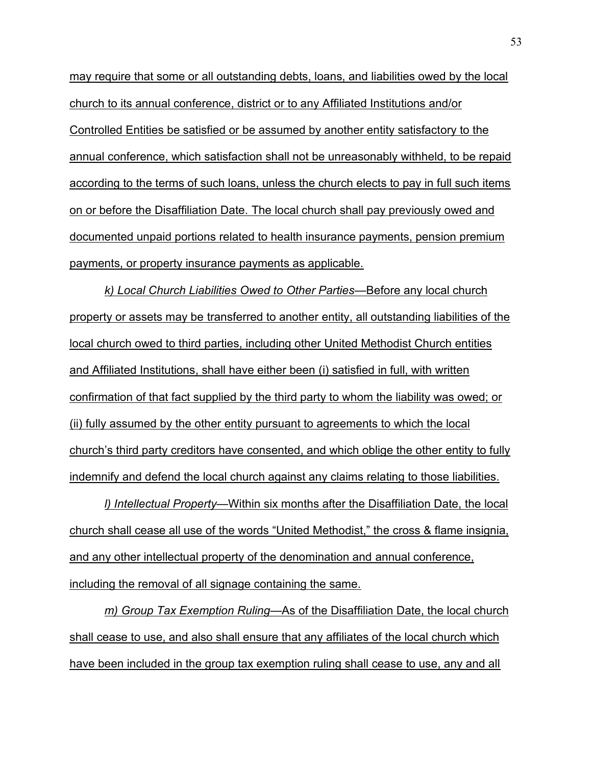may require that some or all outstanding debts, loans, and liabilities owed by the local church to its annual conference, district or to any Affiliated Institutions and/or Controlled Entities be satisfied or be assumed by another entity satisfactory to the annual conference, which satisfaction shall not be unreasonably withheld, to be repaid according to the terms of such loans, unless the church elects to pay in full such items on or before the Disaffiliation Date. The local church shall pay previously owed and documented unpaid portions related to health insurance payments, pension premium payments, or property insurance payments as applicable.

*k) Local Church Liabilities Owed to Other Partiesó*Before any local church property or assets may be transferred to another entity, all outstanding liabilities of the local church owed to third parties, including other United Methodist Church entities and Affiliated Institutions, shall have either been (i) satisfied in full, with written confirmation of that fact supplied by the third party to whom the liability was owed; or (ii) fully assumed by the other entity pursuant to agreements to which the local churchís third party creditors have consented, and which oblige the other entity to fully indemnify and defend the local church against any claims relating to those liabilities.

*l) Intellectual Property*—Within six months after the Disaffiliation Date, the local church shall cease all use of the words "United Methodist," the cross & flame insignia, and any other intellectual property of the denomination and annual conference, including the removal of all signage containing the same.

*m)* Group Tax Exemption Ruling—As of the Disaffiliation Date, the local church shall cease to use, and also shall ensure that any affiliates of the local church which have been included in the group tax exemption ruling shall cease to use, any and all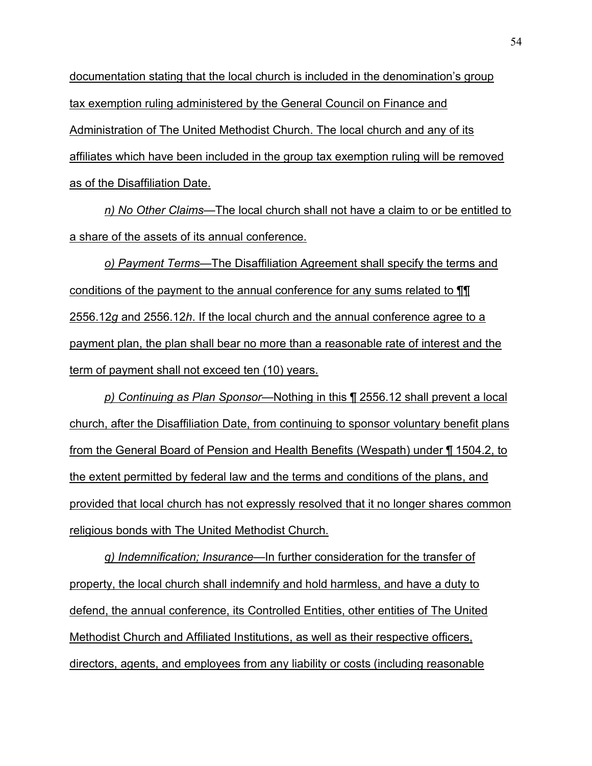documentation stating that the local church is included in the denominationís group tax exemption ruling administered by the General Council on Finance and Administration of The United Methodist Church. The local church and any of its affiliates which have been included in the group tax exemption ruling will be removed as of the Disaffiliation Date.

*n)* No Other Claims—The local church shall not have a claim to or be entitled to a share of the assets of its annual conference.

*o) Payment Terms*—The Disaffiliation Agreement shall specify the terms and conditions of the payment to the annual conference for any sums related to ¶¶ 2556.12*g* and 2556.12*h*. If the local church and the annual conference agree to a payment plan, the plan shall bear no more than a reasonable rate of interest and the term of payment shall not exceed ten (10) years.

*p) Continuing as Plan Sponsor*—Nothing in this ¶ 2556.12 shall prevent a local church, after the Disaffiliation Date, from continuing to sponsor voluntary benefit plans from the General Board of Pension and Health Benefits (Wespath) under ¶ 1504.2, to the extent permitted by federal law and the terms and conditions of the plans, and provided that local church has not expressly resolved that it no longer shares common religious bonds with The United Methodist Church.

*q) Indemnification; Insuranceó*In further consideration for the transfer of property, the local church shall indemnify and hold harmless, and have a duty to defend, the annual conference, its Controlled Entities, other entities of The United Methodist Church and Affiliated Institutions, as well as their respective officers, directors, agents, and employees from any liability or costs (including reasonable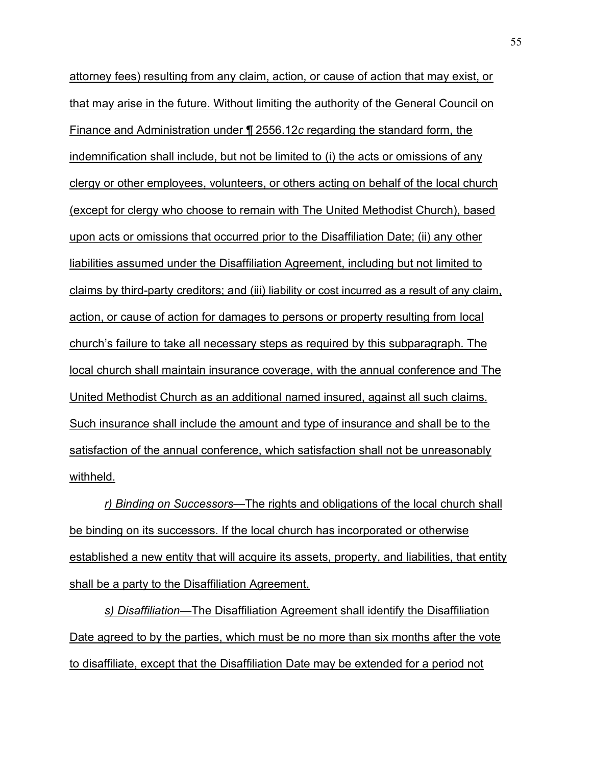attorney fees) resulting from any claim, action, or cause of action that may exist, or that may arise in the future. Without limiting the authority of the General Council on Finance and Administration under ¶ 2556.12*c* regarding the standard form, the indemnification shall include, but not be limited to (i) the acts or omissions of any clergy or other employees, volunteers, or others acting on behalf of the local church (except for clergy who choose to remain with The United Methodist Church), based upon acts or omissions that occurred prior to the Disaffiliation Date; (ii) any other liabilities assumed under the Disaffiliation Agreement, including but not limited to claims by third-party creditors; and (iii) liability or cost incurred as a result of any claim, action, or cause of action for damages to persons or property resulting from local church's failure to take all necessary steps as required by this subparagraph. The local church shall maintain insurance coverage, with the annual conference and The United Methodist Church as an additional named insured, against all such claims. Such insurance shall include the amount and type of insurance and shall be to the satisfaction of the annual conference, which satisfaction shall not be unreasonably withheld.

*r*) Binding on Successors—The rights and obligations of the local church shall be binding on its successors. If the local church has incorporated or otherwise established a new entity that will acquire its assets, property, and liabilities, that entity shall be a party to the Disaffiliation Agreement.

**s) Disaffiliation—The Disaffiliation Agreement shall identify the Disaffiliation** Date agreed to by the parties, which must be no more than six months after the vote to disaffiliate, except that the Disaffiliation Date may be extended for a period not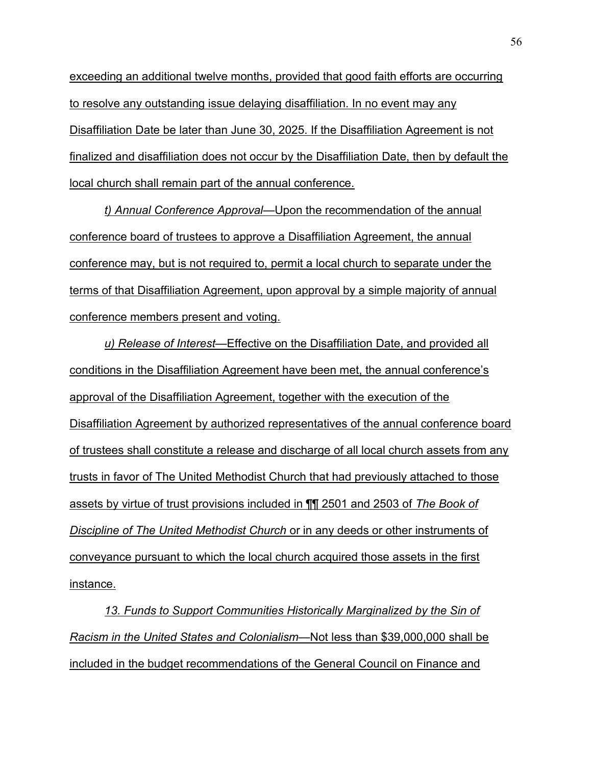exceeding an additional twelve months, provided that good faith efforts are occurring to resolve any outstanding issue delaying disaffiliation. In no event may any Disaffiliation Date be later than June 30, 2025. If the Disaffiliation Agreement is not finalized and disaffiliation does not occur by the Disaffiliation Date, then by default the local church shall remain part of the annual conference.

**t) Annual Conference Approval—Upon the recommendation of the annual** conference board of trustees to approve a Disaffiliation Agreement, the annual conference may, but is not required to, permit a local church to separate under the terms of that Disaffiliation Agreement, upon approval by a simple majority of annual conference members present and voting.

*u) Release of Interest*—Effective on the Disaffiliation Date, and provided all conditions in the Disaffiliation Agreement have been met, the annual conference's approval of the Disaffiliation Agreement, together with the execution of the Disaffiliation Agreement by authorized representatives of the annual conference board of trustees shall constitute a release and discharge of all local church assets from any trusts in favor of The United Methodist Church that had previously attached to those assets by virtue of trust provisions included in ¶¶ 2501 and 2503 of *The Book of Discipline of The United Methodist Church* or in any deeds or other instruments of conveyance pursuant to which the local church acquired those assets in the first instance.

*13. Funds to Support Communities Historically Marginalized by the Sin of Racism in the United States and Colonialism*—Not less than \$39,000,000 shall be included in the budget recommendations of the General Council on Finance and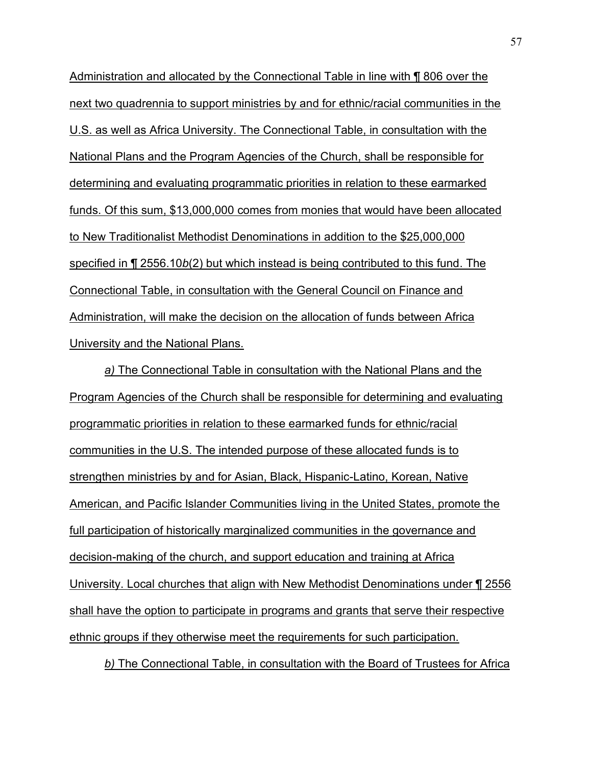Administration and allocated by the Connectional Table in line with ¶ 806 over the next two quadrennia to support ministries by and for ethnic/racial communities in the U.S. as well as Africa University. The Connectional Table, in consultation with the National Plans and the Program Agencies of the Church, shall be responsible for determining and evaluating programmatic priorities in relation to these earmarked funds. Of this sum, \$13,000,000 comes from monies that would have been allocated to New Traditionalist Methodist Denominations in addition to the \$25,000,000 specified in ¶ 2556.10*b*(2) but which instead is being contributed to this fund. The Connectional Table, in consultation with the General Council on Finance and Administration, will make the decision on the allocation of funds between Africa University and the National Plans.

*a)* The Connectional Table in consultation with the National Plans and the Program Agencies of the Church shall be responsible for determining and evaluating programmatic priorities in relation to these earmarked funds for ethnic/racial communities in the U.S. The intended purpose of these allocated funds is to strengthen ministries by and for Asian, Black, Hispanic-Latino, Korean, Native American, and Pacific Islander Communities living in the United States, promote the full participation of historically marginalized communities in the governance and decision-making of the church, and support education and training at Africa University. Local churches that align with New Methodist Denominations under ¶ 2556 shall have the option to participate in programs and grants that serve their respective ethnic groups if they otherwise meet the requirements for such participation.

*b)* The Connectional Table, in consultation with the Board of Trustees for Africa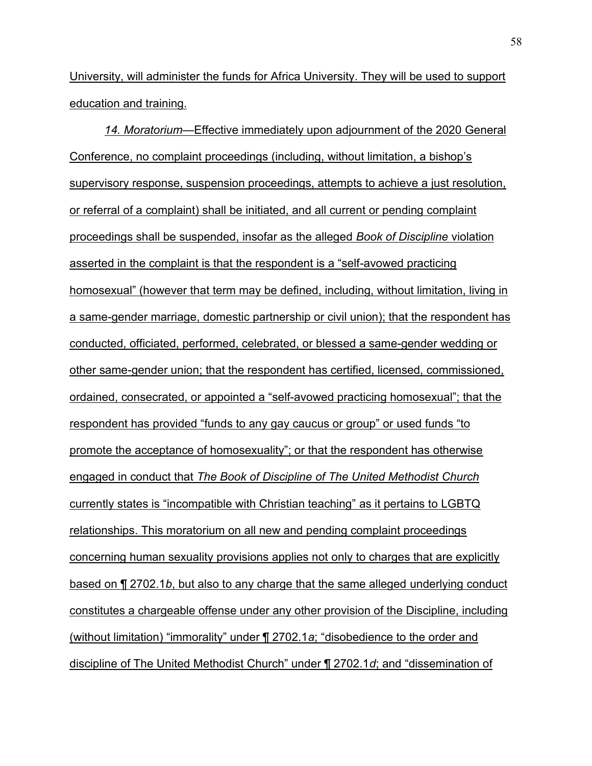University, will administer the funds for Africa University. They will be used to support education and training.

*14. Moratoriumó*Effective immediately upon adjournment of the 2020 General Conference, no complaint proceedings (including, without limitation, a bishopís supervisory response, suspension proceedings, attempts to achieve a just resolution, or referral of a complaint) shall be initiated, and all current or pending complaint proceedings shall be suspended, insofar as the alleged *Book of Discipline* violation asserted in the complaint is that the respondent is a "self-avowed practicing homosexual" (however that term may be defined, including, without limitation, living in a same-gender marriage, domestic partnership or civil union); that the respondent has conducted, officiated, performed, celebrated, or blessed a same-gender wedding or other same-gender union; that the respondent has certified, licensed, commissioned, ordained, consecrated, or appointed a "self-avowed practicing homosexual"; that the respondent has provided "funds to any gay caucus or group" or used funds "to promote the acceptance of homosexualityî; or that the respondent has otherwise engaged in conduct that *The Book of Discipline of The United Methodist Church*  currently states is "incompatible with Christian teaching" as it pertains to LGBTQ relationships. This moratorium on all new and pending complaint proceedings concerning human sexuality provisions applies not only to charges that are explicitly based on ¶ 2702.1*b*, but also to any charge that the same alleged underlying conduct constitutes a chargeable offense under any other provision of the Discipline, including (without limitation) "immorality" under ¶ 2702.1*a*; "disobedience to the order and discipline of The United Methodist Church" under ¶ 2702.1*d*; and "dissemination of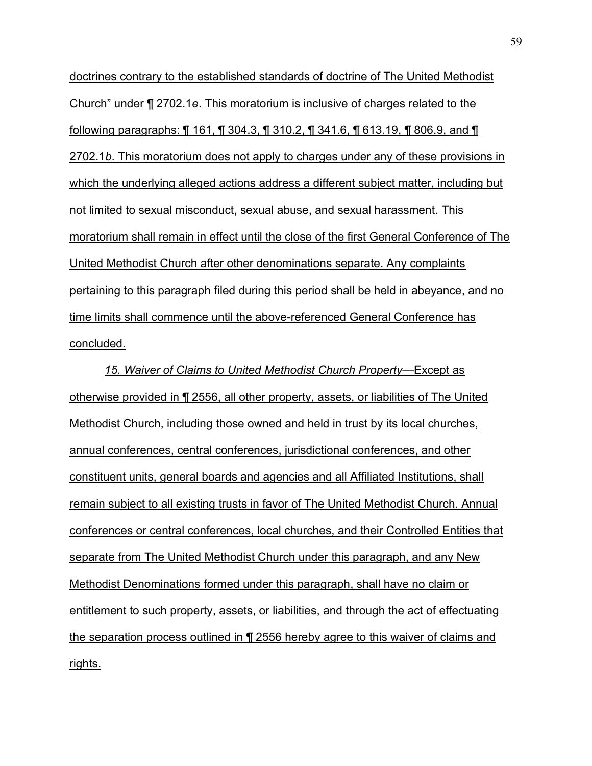doctrines contrary to the established standards of doctrine of The United Methodist Churchî under ¶ 2702.1*e*. This moratorium is inclusive of charges related to the following paragraphs: ¶ 161, ¶ 304.3, ¶ 310.2, ¶ 341.6, ¶ 613.19, ¶ 806.9, and ¶ 2702.1*b*. This moratorium does not apply to charges under any of these provisions in which the underlying alleged actions address a different subject matter, including but not limited to sexual misconduct, sexual abuse, and sexual harassment. This moratorium shall remain in effect until the close of the first General Conference of The United Methodist Church after other denominations separate. Any complaints pertaining to this paragraph filed during this period shall be held in abeyance, and no time limits shall commence until the above-referenced General Conference has concluded.

15. Waiver of Claims to United Methodist Church Property—Except as otherwise provided in ¶ 2556, all other property, assets, or liabilities of The United Methodist Church, including those owned and held in trust by its local churches, annual conferences, central conferences, jurisdictional conferences, and other constituent units, general boards and agencies and all Affiliated Institutions, shall remain subject to all existing trusts in favor of The United Methodist Church. Annual conferences or central conferences, local churches, and their Controlled Entities that separate from The United Methodist Church under this paragraph, and any New Methodist Denominations formed under this paragraph, shall have no claim or entitlement to such property, assets, or liabilities, and through the act of effectuating the separation process outlined in ¶ 2556 hereby agree to this waiver of claims and rights.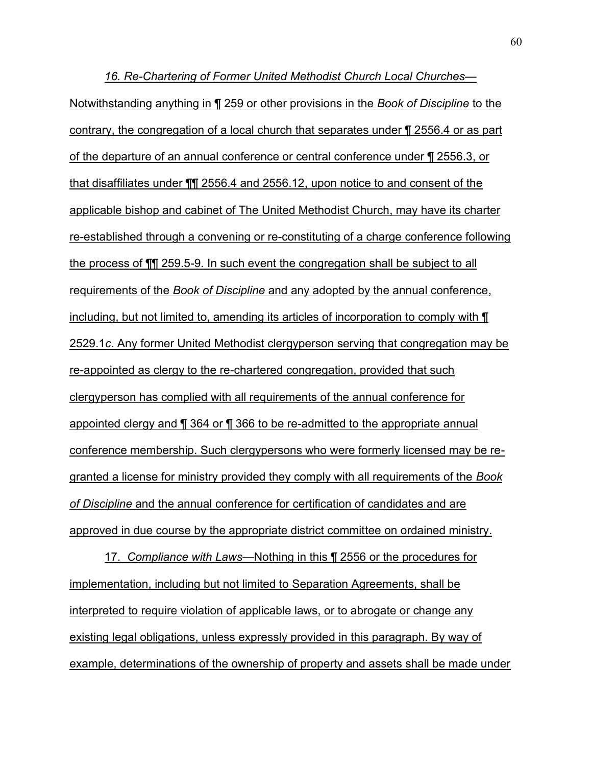*16. Re-Chartering of Former United Methodist Church Local Churchesó* Notwithstanding anything in ¶ 259 or other provisions in the *Book of Discipline* to the contrary, the congregation of a local church that separates under ¶ 2556.4 or as part of the departure of an annual conference or central conference under ¶ 2556.3, or that disaffiliates under ¶¶ 2556.4 and 2556.12, upon notice to and consent of the applicable bishop and cabinet of The United Methodist Church, may have its charter re-established through a convening or re-constituting of a charge conference following the process of ¶¶ 259.5-9. In such event the congregation shall be subject to all requirements of the *Book of Discipline* and any adopted by the annual conference, including, but not limited to, amending its articles of incorporation to comply with ¶ 2529.1*c*. Any former United Methodist clergyperson serving that congregation may be re-appointed as clergy to the re-chartered congregation, provided that such clergyperson has complied with all requirements of the annual conference for appointed clergy and ¶ 364 or ¶ 366 to be re-admitted to the appropriate annual conference membership. Such clergypersons who were formerly licensed may be regranted a license for ministry provided they comply with all requirements of the *Book of Discipline* and the annual conference for certification of candidates and are approved in due course by the appropriate district committee on ordained ministry.

17. Compliance with Laws—Nothing in this ¶ 2556 or the procedures for implementation, including but not limited to Separation Agreements, shall be interpreted to require violation of applicable laws, or to abrogate or change any existing legal obligations, unless expressly provided in this paragraph. By way of example, determinations of the ownership of property and assets shall be made under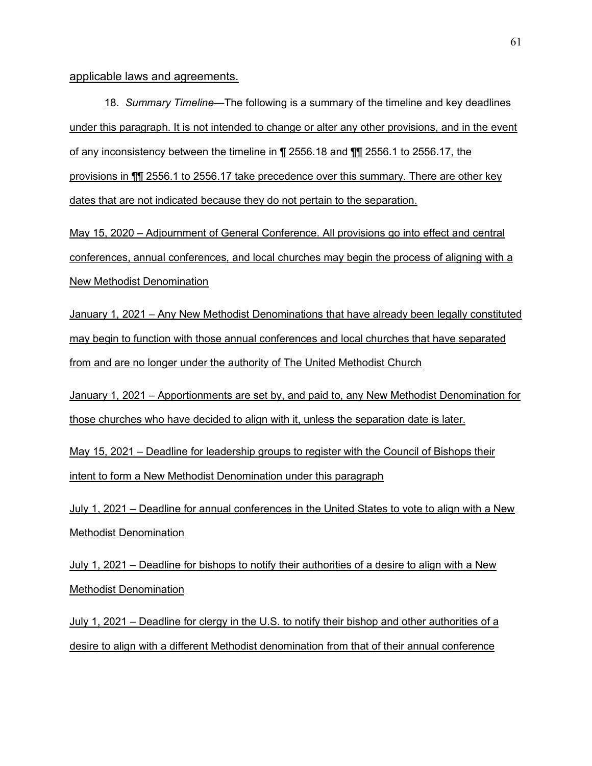applicable laws and agreements.

18. *Summary Timeline*—The following is a summary of the timeline and key deadlines under this paragraph. It is not intended to change or alter any other provisions, and in the event of any inconsistency between the timeline in ¶ 2556.18 and ¶¶ 2556.1 to 2556.17, the provisions in ¶¶ 2556.1 to 2556.17 take precedence over this summary. There are other key dates that are not indicated because they do not pertain to the separation.

May 15, 2020 – Adjournment of General Conference. All provisions go into effect and central conferences, annual conferences, and local churches may begin the process of aligning with a New Methodist Denomination

January 1, 2021 – Any New Methodist Denominations that have already been legally constituted may begin to function with those annual conferences and local churches that have separated from and are no longer under the authority of The United Methodist Church

January 1, 2021 – Apportionments are set by, and paid to, any New Methodist Denomination for those churches who have decided to align with it, unless the separation date is later.

May 15, 2021 – Deadline for leadership groups to register with the Council of Bishops their intent to form a New Methodist Denomination under this paragraph

July 1, 2021 – Deadline for annual conferences in the United States to vote to align with a New Methodist Denomination

July 1, 2021 – Deadline for bishops to notify their authorities of a desire to align with a New Methodist Denomination

July 1, 2021 – Deadline for clergy in the U.S. to notify their bishop and other authorities of a desire to align with a different Methodist denomination from that of their annual conference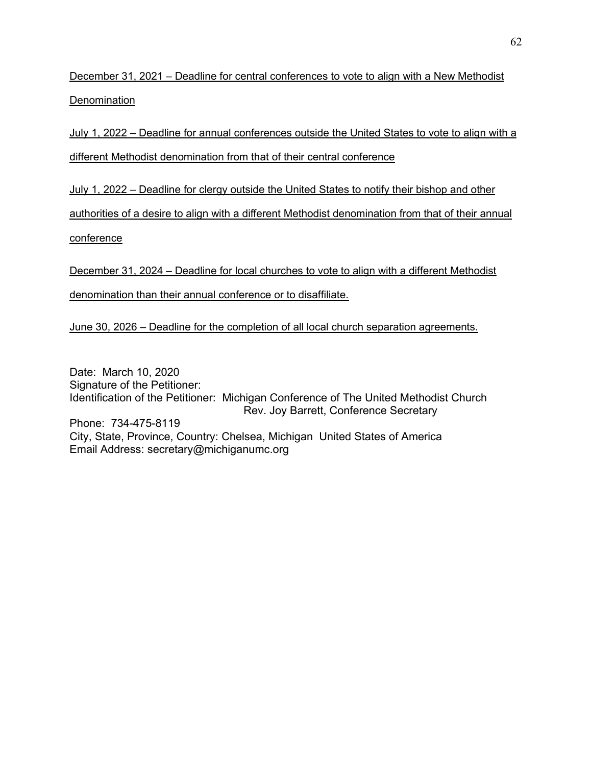December 31, 2021 – Deadline for central conferences to vote to align with a New Methodist **Denomination** 

July 1, 2022 – Deadline for annual conferences outside the United States to vote to align with a different Methodist denomination from that of their central conference

July 1, 2022 – Deadline for clergy outside the United States to notify their bishop and other

authorities of a desire to align with a different Methodist denomination from that of their annual

conference

December 31, 2024 – Deadline for local churches to vote to align with a different Methodist

denomination than their annual conference or to disaffiliate.

June 30, 2026  $-$  Deadline for the completion of all local church separation agreements.

Date: March 10, 2020 Signature of the Petitioner: Identification of the Petitioner: Michigan Conference of The United Methodist Church Rev. Joy Barrett, Conference Secretary Phone: 734-475-8119 City, State, Province, Country: Chelsea, Michigan United States of America Email Address: secretary@michiganumc.org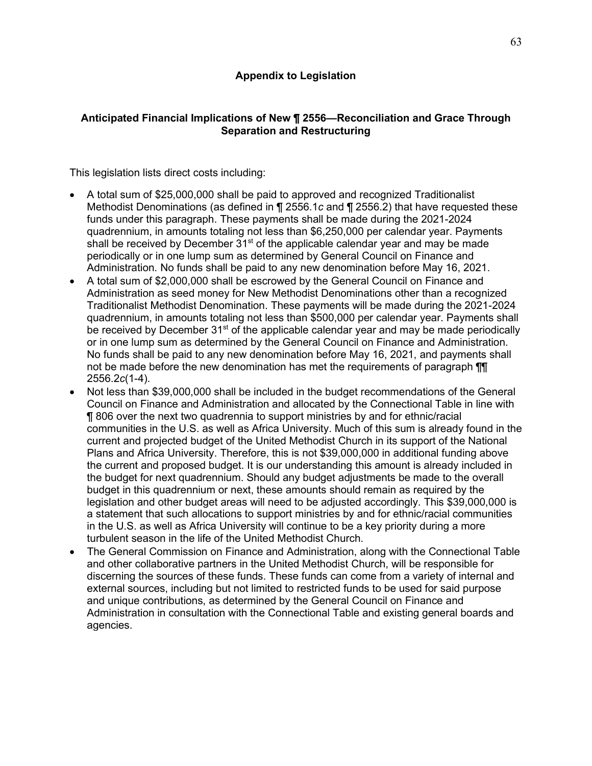# **Anticipated Financial Implications of New ¶ 2556óReconciliation and Grace Through Separation and Restructuring**

This legislation lists direct costs including:

- · A total sum of \$25,000,000 shall be paid to approved and recognized Traditionalist Methodist Denominations (as defined in ¶ 2556.1*c* and ¶ 2556.2) that have requested these funds under this paragraph. These payments shall be made during the 2021-2024 quadrennium, in amounts totaling not less than \$6,250,000 per calendar year. Payments shall be received by December 31<sup>st</sup> of the applicable calendar year and may be made periodically or in one lump sum as determined by General Council on Finance and Administration. No funds shall be paid to any new denomination before May 16, 2021.
- · A total sum of \$2,000,000 shall be escrowed by the General Council on Finance and Administration as seed money for New Methodist Denominations other than a recognized Traditionalist Methodist Denomination. These payments will be made during the 2021-2024 quadrennium, in amounts totaling not less than \$500,000 per calendar year. Payments shall be received by December 31<sup>st</sup> of the applicable calendar year and may be made periodically or in one lump sum as determined by the General Council on Finance and Administration. No funds shall be paid to any new denomination before May 16, 2021, and payments shall not be made before the new denomination has met the requirements of paragraph  $\P$ 2556.2*c*(1-4).
- · Not less than \$39,000,000 shall be included in the budget recommendations of the General Council on Finance and Administration and allocated by the Connectional Table in line with ¶ 806 over the next two quadrennia to support ministries by and for ethnic/racial communities in the U.S. as well as Africa University. Much of this sum is already found in the current and projected budget of the United Methodist Church in its support of the National Plans and Africa University. Therefore, this is not \$39,000,000 in additional funding above the current and proposed budget. It is our understanding this amount is already included in the budget for next quadrennium. Should any budget adjustments be made to the overall budget in this quadrennium or next, these amounts should remain as required by the legislation and other budget areas will need to be adjusted accordingly. This \$39,000,000 is a statement that such allocations to support ministries by and for ethnic/racial communities in the U.S. as well as Africa University will continue to be a key priority during a more turbulent season in the life of the United Methodist Church.
- The General Commission on Finance and Administration, along with the Connectional Table and other collaborative partners in the United Methodist Church, will be responsible for discerning the sources of these funds. These funds can come from a variety of internal and external sources, including but not limited to restricted funds to be used for said purpose and unique contributions, as determined by the General Council on Finance and Administration in consultation with the Connectional Table and existing general boards and agencies.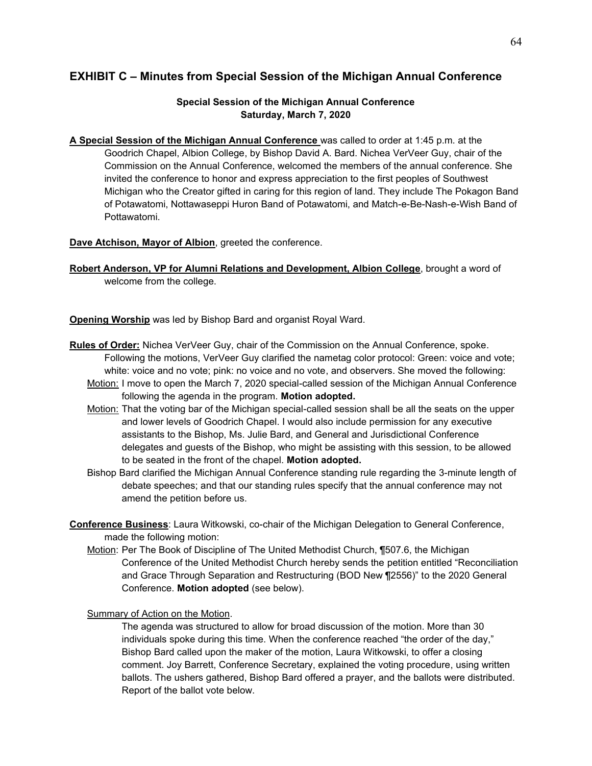# **EXHIBIT C ñ Minutes from Special Session of the Michigan Annual Conference**

### **Special Session of the Michigan Annual Conference Saturday, March 7, 2020**

**A Special Session of the Michigan Annual Conference** was called to order at 1:45 p.m. at the Goodrich Chapel, Albion College, by Bishop David A. Bard. Nichea VerVeer Guy, chair of the Commission on the Annual Conference, welcomed the members of the annual conference. She invited the conference to honor and express appreciation to the first peoples of Southwest Michigan who the Creator gifted in caring for this region of land. They include The Pokagon Band of Potawatomi, Nottawaseppi Huron Band of Potawatomi, and Match-e-Be-Nash-e-Wish Band of Pottawatomi.

**Dave Atchison, Mayor of Albion**, greeted the conference.

**Robert Anderson, VP for Alumni Relations and Development, Albion College**, brought a word of welcome from the college.

**Opening Worship** was led by Bishop Bard and organist Royal Ward.

- **Rules of Order:** Nichea VerVeer Guy, chair of the Commission on the Annual Conference, spoke. Following the motions, VerVeer Guy clarified the nametag color protocol: Green: voice and vote; white: voice and no vote; pink: no voice and no vote, and observers. She moved the following:
	- Motion: I move to open the March 7, 2020 special-called session of the Michigan Annual Conference following the agenda in the program. **Motion adopted.**
	- Motion: That the voting bar of the Michigan special-called session shall be all the seats on the upper and lower levels of Goodrich Chapel. I would also include permission for any executive assistants to the Bishop, Ms. Julie Bard, and General and Jurisdictional Conference delegates and guests of the Bishop, who might be assisting with this session, to be allowed to be seated in the front of the chapel. **Motion adopted.**
	- Bishop Bard clarified the Michigan Annual Conference standing rule regarding the 3-minute length of debate speeches; and that our standing rules specify that the annual conference may not amend the petition before us.
- **Conference Business**: Laura Witkowski, co-chair of the Michigan Delegation to General Conference, made the following motion:
	- Motion: Per The Book of Discipline of The United Methodist Church, ¶507.6, the Michigan Conference of the United Methodist Church hereby sends the petition entitled "Reconciliation and Grace Through Separation and Restructuring (BOD New ¶2556)" to the 2020 General Conference. **Motion adopted** (see below).

### Summary of Action on the Motion.

The agenda was structured to allow for broad discussion of the motion. More than 30 individuals spoke during this time. When the conference reached "the order of the day," Bishop Bard called upon the maker of the motion, Laura Witkowski, to offer a closing comment. Joy Barrett, Conference Secretary, explained the voting procedure, using written ballots. The ushers gathered, Bishop Bard offered a prayer, and the ballots were distributed. Report of the ballot vote below.